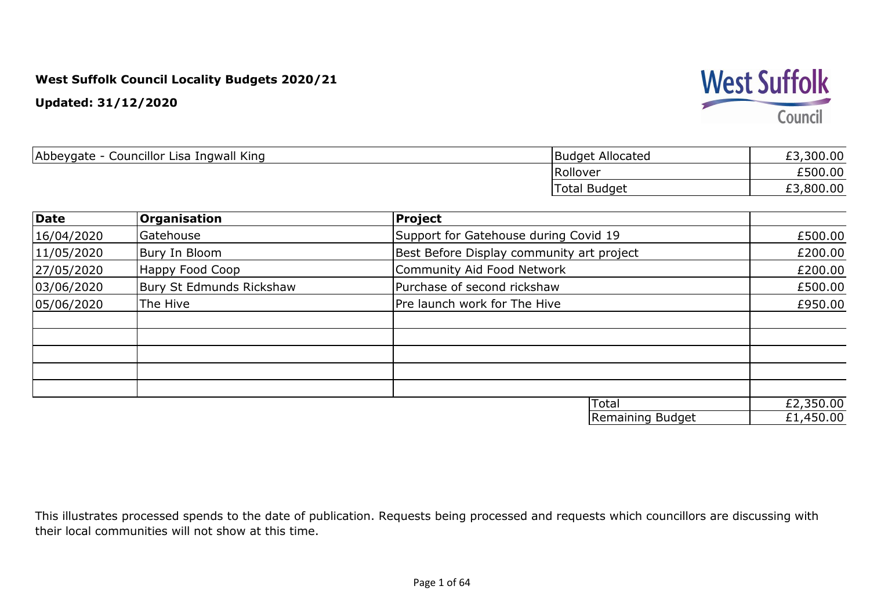**Updated: 31/12/2020**



| Abbeygate -<br>Councillor Lisa Ingwall King | Budget Allocated    | £3,300.00 |
|---------------------------------------------|---------------------|-----------|
|                                             | Rollover            | £500.00   |
|                                             | <b>Total Budget</b> | £3,800.00 |

| <b>Date</b> | <b>Organisation</b>      | <b>Project</b>                            |           |
|-------------|--------------------------|-------------------------------------------|-----------|
| 16/04/2020  | Gatehouse                | Support for Gatehouse during Covid 19     | £500.00   |
| 11/05/2020  | Bury In Bloom            | Best Before Display community art project | £200.00   |
| 27/05/2020  | Happy Food Coop          | Community Aid Food Network                | £200.00   |
| 03/06/2020  | Bury St Edmunds Rickshaw | Purchase of second rickshaw               | £500.00   |
| 05/06/2020  | The Hive                 | Pre launch work for The Hive              | £950.00   |
|             |                          |                                           |           |
|             |                          |                                           |           |
|             |                          |                                           |           |
|             |                          |                                           |           |
|             |                          |                                           |           |
|             |                          | Total                                     | £2,350.00 |
|             |                          | Remaining Budget                          | £1,450.00 |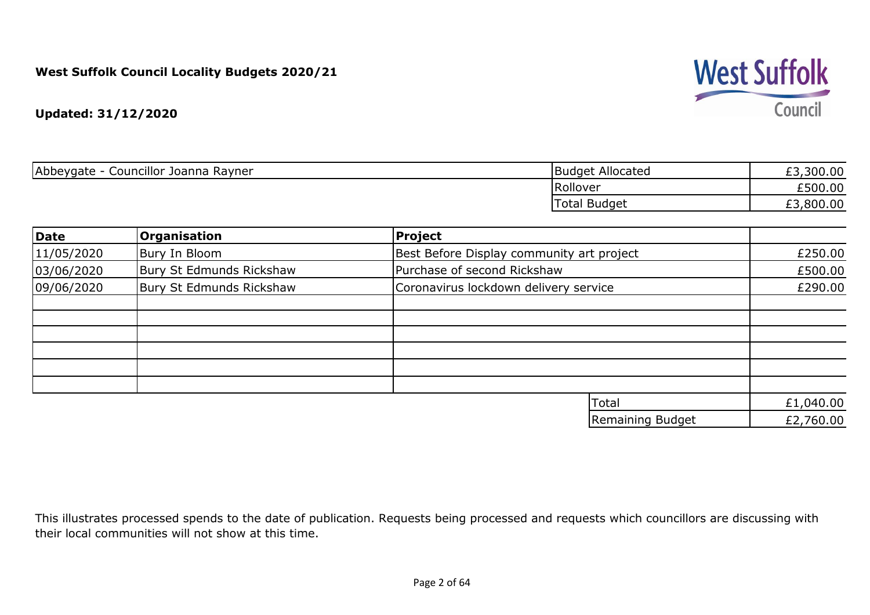

**Updated: 31/12/2020**

| ,300.00<br>້  | <b>Budget Allocated</b> | Councillor Joanna Rayner<br>Abbeygate - |
|---------------|-------------------------|-----------------------------------------|
| £500.00       | Rollover                |                                         |
| ,800.00<br>ر_ | <b>Total Budget</b>     |                                         |
|               |                         |                                         |

| Date       | <b>Organisation</b>      | Project                                   |           |
|------------|--------------------------|-------------------------------------------|-----------|
| 11/05/2020 | Bury In Bloom            | Best Before Display community art project | £250.00   |
| 03/06/2020 | Bury St Edmunds Rickshaw | Purchase of second Rickshaw               | £500.00   |
| 09/06/2020 | Bury St Edmunds Rickshaw | Coronavirus lockdown delivery service     | £290.00   |
|            |                          |                                           |           |
|            |                          |                                           |           |
|            |                          |                                           |           |
|            |                          |                                           |           |
|            |                          |                                           |           |
|            |                          | Total                                     | £1,040.00 |
|            |                          | Remaining Budget                          | £2,760.00 |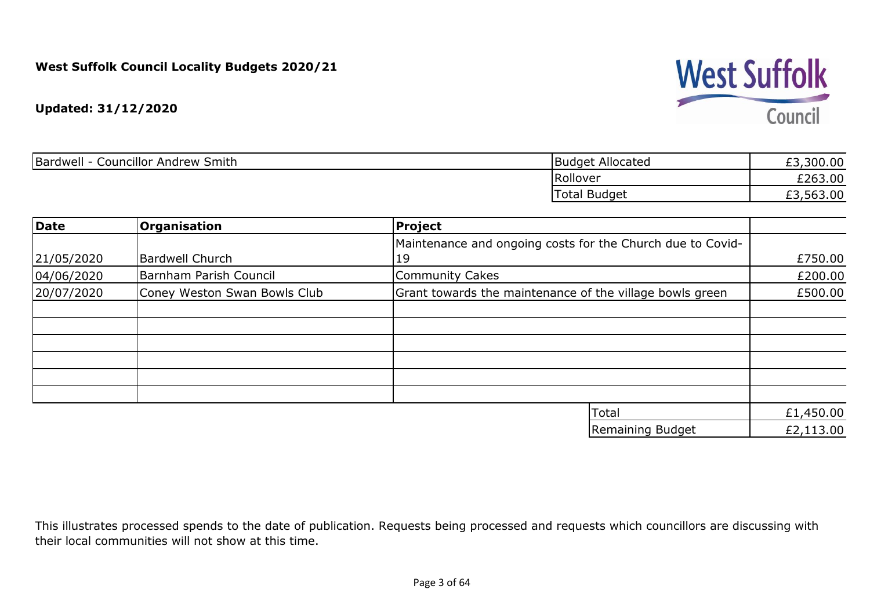

| Bardwell<br>Councillor Andrew Smith | Budget Allocated    | £3,300.00 |
|-------------------------------------|---------------------|-----------|
|                                     | Rollover            | £263.00   |
|                                     | <b>Total Budget</b> | £3,563.00 |

| Date       | <b>Organisation</b>          | Project                                                    |           |
|------------|------------------------------|------------------------------------------------------------|-----------|
|            |                              | Maintenance and ongoing costs for the Church due to Covid- |           |
| 21/05/2020 | Bardwell Church              | 19                                                         | £750.00   |
| 04/06/2020 | Barnham Parish Council       | <b>Community Cakes</b>                                     | £200.00   |
| 20/07/2020 | Coney Weston Swan Bowls Club | Grant towards the maintenance of the village bowls green   | £500.00   |
|            |                              |                                                            |           |
|            |                              |                                                            |           |
|            |                              |                                                            |           |
|            |                              |                                                            |           |
|            |                              |                                                            |           |
|            |                              |                                                            |           |
|            |                              | Total                                                      | £1,450.00 |
|            |                              | Remaining Budget                                           | £2,113.00 |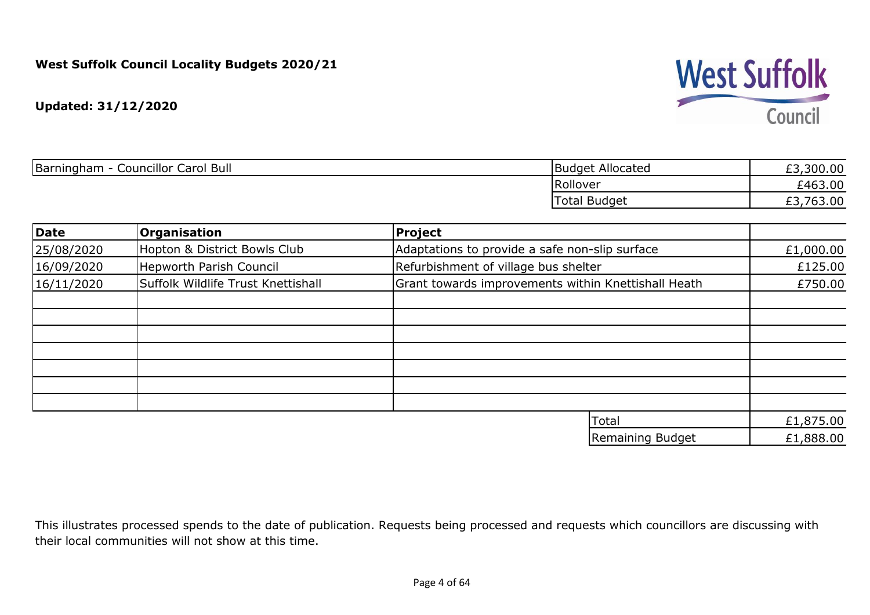

| Barningham - Councillor Carol Bull |                                    | <b>Budget Allocated</b>                             | £3,300.00 |
|------------------------------------|------------------------------------|-----------------------------------------------------|-----------|
|                                    |                                    | Rollover                                            | £463.00   |
|                                    |                                    | <b>Total Budget</b>                                 | £3,763.00 |
| Date                               | <b>Organisation</b>                | Project                                             |           |
| 25/08/2020                         | Hopton & District Bowls Club       | Adaptations to provide a safe non-slip surface      | £1,000.00 |
| 16/09/2020                         | <b>Hepworth Parish Council</b>     | Refurbishment of village bus shelter                | £125.00   |
| 16/11/2020                         | Suffolk Wildlife Trust Knettishall | Grant towards improvements within Knettishall Heath | £750.00   |
|                                    |                                    |                                                     |           |
|                                    |                                    |                                                     |           |
|                                    |                                    |                                                     |           |
|                                    |                                    |                                                     |           |
|                                    |                                    |                                                     |           |

| <b>ITotal</b>    | £1,875.00 |
|------------------|-----------|
| Remaining Budget | £1,888.00 |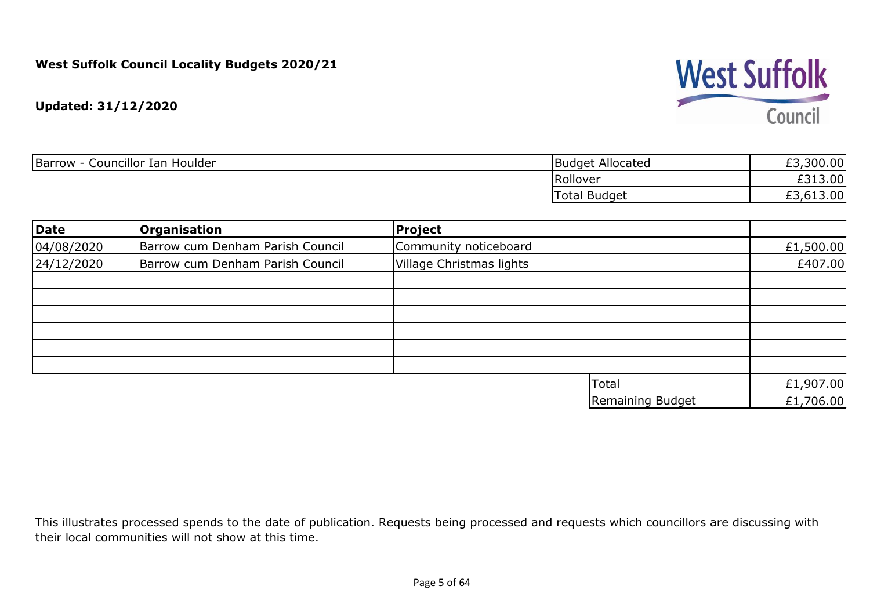

| Councillor Ian Houlder<br>Barrow | <b>Budget Allocated</b> | ,300.00<br>$\sim$ |
|----------------------------------|-------------------------|-------------------|
|                                  | Rollover                | £313.00           |
|                                  | Total Budget            | 13.00             |

| Date       | <b>Organisation</b>              | Project                  |           |
|------------|----------------------------------|--------------------------|-----------|
| 04/08/2020 | Barrow cum Denham Parish Council | Community noticeboard    | £1,500.00 |
| 24/12/2020 | Barrow cum Denham Parish Council | Village Christmas lights | £407.00   |
|            |                                  |                          |           |
|            |                                  |                          |           |
|            |                                  |                          |           |
|            |                                  |                          |           |
|            |                                  |                          |           |
|            |                                  | Total                    | £1,907.00 |
|            |                                  | Remaining Budget         | £1,706.00 |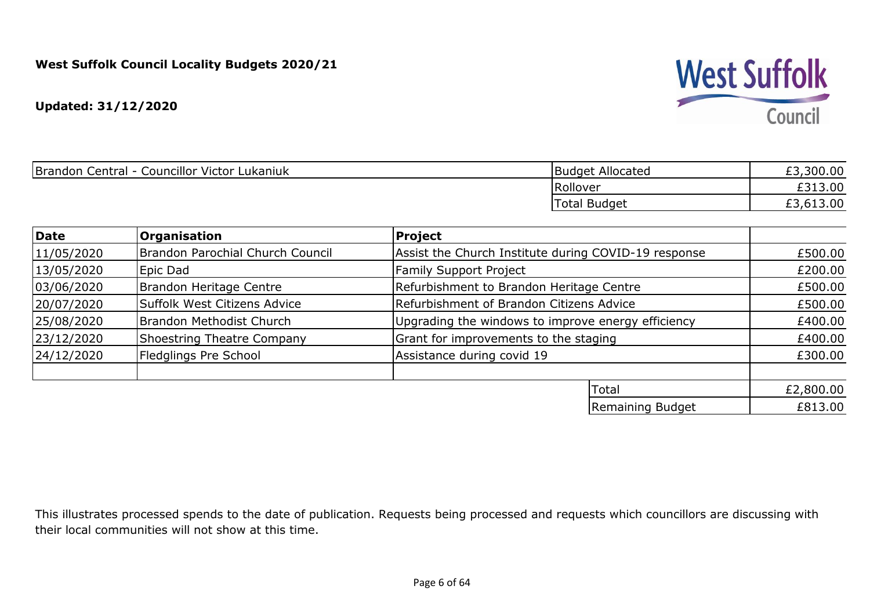

|            | Brandon Central - Councillor Victor Lukaniuk | Budget Allocated                                             | £3,300.00 |
|------------|----------------------------------------------|--------------------------------------------------------------|-----------|
|            |                                              | Rollover                                                     | £313.00   |
|            |                                              | Total Budget                                                 | £3,613.00 |
|            |                                              |                                                              |           |
| Date       | <b>Organisation</b>                          | <b>Project</b>                                               |           |
| 11/05/2020 | <b>IBrandon Parochial Church Council</b>     | <b>LAssist the Church Institute during COVID-19 response</b> | £500.00   |

| 11/05/2020 | Brandon Parochial Church Council | Assist the Church Institute during COVID-19 response | £500.00   |
|------------|----------------------------------|------------------------------------------------------|-----------|
| 13/05/2020 | Epic Dad                         | <b>Family Support Project</b>                        | £200.00   |
| 03/06/2020 | Brandon Heritage Centre          | Refurbishment to Brandon Heritage Centre             | £500.00   |
| 20/07/2020 | Suffolk West Citizens Advice     | Refurbishment of Brandon Citizens Advice             | £500.00   |
| 25/08/2020 | Brandon Methodist Church         | Upgrading the windows to improve energy efficiency   | £400.00   |
| 23/12/2020 | Shoestring Theatre Company       | Grant for improvements to the staging                | £400.00   |
| 24/12/2020 | Fledglings Pre School            | Assistance during covid 19                           | £300.00   |
|            |                                  | Total                                                | £2,800.00 |
|            |                                  | Remaining Budget                                     | £813.00   |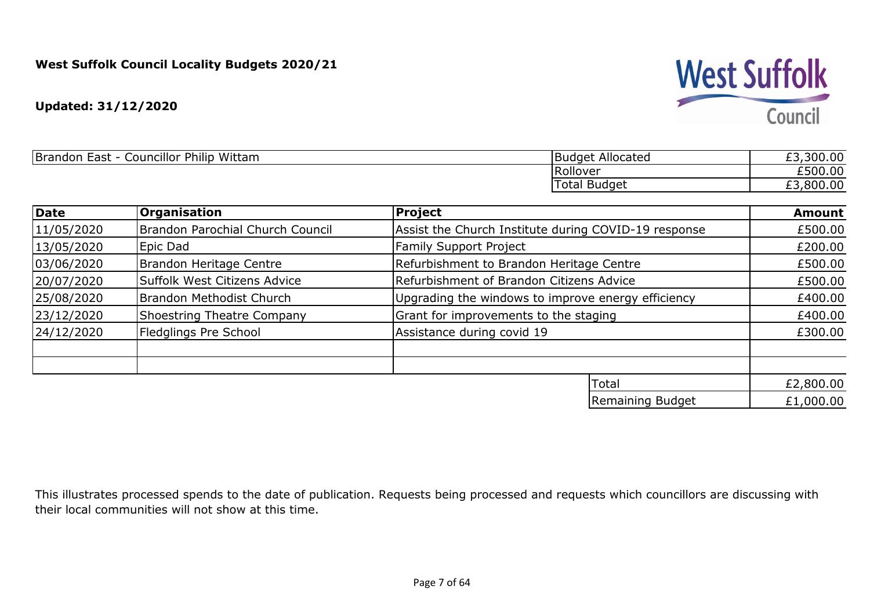

| Councillor Philip<br>Wittam<br><b>Brandon</b><br><b>Loct</b><br>$\sim$<br>. .<br>---- | Allocated<br><b>Budget</b> | £3,300.00 |
|---------------------------------------------------------------------------------------|----------------------------|-----------|
|                                                                                       | <b>IRollover</b>           | £500.00   |
|                                                                                       | l otal<br><b>Budget</b>    | £3,800.00 |

| <b>Date</b> | <b>Organisation</b>               | <b>Project</b>                                       | <b>Amount</b> |
|-------------|-----------------------------------|------------------------------------------------------|---------------|
| 11/05/2020  | Brandon Parochial Church Council  | Assist the Church Institute during COVID-19 response | £500.00       |
| 13/05/2020  | Epic Dad                          | <b>Family Support Project</b>                        | £200.00       |
| 03/06/2020  | Brandon Heritage Centre           | Refurbishment to Brandon Heritage Centre             | £500.00       |
| 20/07/2020  | Suffolk West Citizens Advice      | Refurbishment of Brandon Citizens Advice             | £500.00       |
| 25/08/2020  | Brandon Methodist Church          | Upgrading the windows to improve energy efficiency   | £400.00       |
| 23/12/2020  | <b>Shoestring Theatre Company</b> | Grant for improvements to the staging                | £400.00       |
| 24/12/2020  | Fledglings Pre School             | Assistance during covid 19                           | £300.00       |
|             |                                   |                                                      |               |
|             |                                   | Total                                                | £2,800.00     |
|             |                                   | Remaining Budget                                     | £1,000.00     |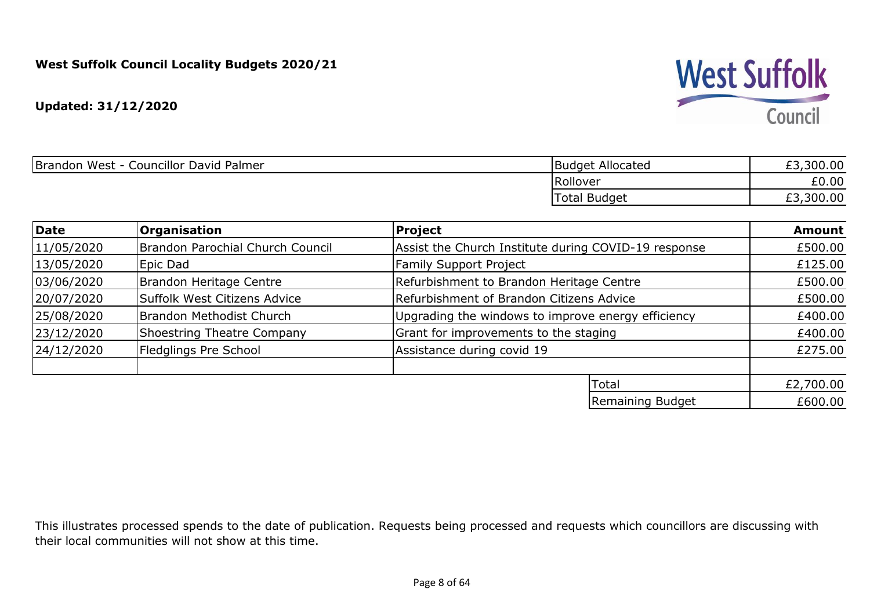

| Councillor David Palmer<br>Brandon West - C | Budget Allocated  | £3,300.00<br>とコ |
|---------------------------------------------|-------------------|-----------------|
|                                             | Rollover          | £0.00           |
|                                             | l Budget<br>Total | ,300.00<br>LJ.  |

| Date       | <b>Organisation</b>              | Project                                              | <b>Amount</b> |
|------------|----------------------------------|------------------------------------------------------|---------------|
| 11/05/2020 | Brandon Parochial Church Council | Assist the Church Institute during COVID-19 response | £500.00       |
| 13/05/2020 | Epic Dad                         | <b>Family Support Project</b>                        | £125.00       |
| 03/06/2020 | Brandon Heritage Centre          | Refurbishment to Brandon Heritage Centre             | £500.00       |
| 20/07/2020 | Suffolk West Citizens Advice     | Refurbishment of Brandon Citizens Advice             | £500.00       |
| 25/08/2020 | Brandon Methodist Church         | Upgrading the windows to improve energy efficiency   | £400.00       |
| 23/12/2020 | Shoestring Theatre Company       | Grant for improvements to the staging                | £400.00       |
| 24/12/2020 | Fledglings Pre School            | Assistance during covid 19                           | £275.00       |
|            |                                  |                                                      |               |
|            |                                  | Total                                                | £2,700.00     |
|            |                                  | Remaining Budget                                     | £600.00       |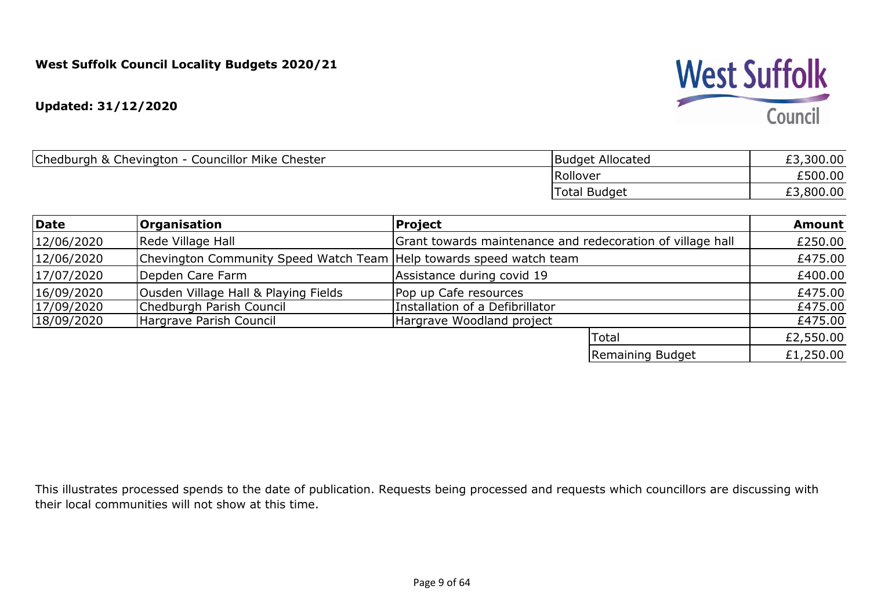**Updated: 31/12/2020**

| Chedburgh & Chevington - Councillor Mike Chester | Budget Allocated    | £3,300.00 |
|--------------------------------------------------|---------------------|-----------|
|                                                  | Rollover            | £500.00   |
|                                                  | <b>Total Budget</b> | £3,800.00 |

| Date       | <b>Organisation</b>                                                 | Project                                                    | <b>Amount</b> |
|------------|---------------------------------------------------------------------|------------------------------------------------------------|---------------|
| 12/06/2020 | Rede Village Hall                                                   | Grant towards maintenance and redecoration of village hall | £250.00       |
| 12/06/2020 | Chevington Community Speed Watch Team Help towards speed watch team |                                                            | £475.00       |
| 17/07/2020 | Depden Care Farm                                                    | Assistance during covid 19                                 | £400.00       |
| 16/09/2020 | Ousden Village Hall & Playing Fields                                | Pop up Cafe resources                                      | £475.00       |
| 17/09/2020 | Chedburgh Parish Council                                            | Installation of a Defibrillator                            | £475.00       |
| 18/09/2020 | Hargrave Parish Council                                             | Hargrave Woodland project                                  | £475.00       |
|            |                                                                     | Total                                                      | £2,550.00     |
|            |                                                                     | Remaining Budget                                           | £1,250.00     |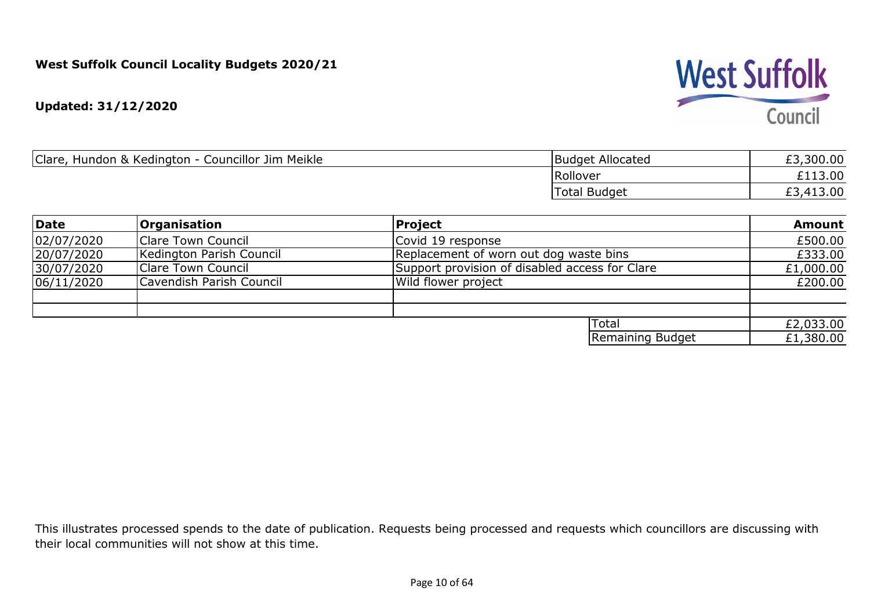**Updated: 31/12/2020**

| Clare,<br>Hundon & Kedington - Councillor Jim Meikle | <b>Budget Allocated</b> | £3,300.00      |
|------------------------------------------------------|-------------------------|----------------|
|                                                      | Rollover                | £113.00        |
|                                                      | <b>Total Budget</b>     | £3,413.00<br>ີ |

| Date       | <b>Organisation</b>       | Project                                        | <b>Amount</b> |
|------------|---------------------------|------------------------------------------------|---------------|
| 02/07/2020 | Clare Town Council        | Covid 19 response                              | £500.00       |
| 20/07/2020 | Kedington Parish Council  | Replacement of worn out dog waste bins         | £333.00       |
| 30/07/2020 | <b>Clare Town Council</b> | Support provision of disabled access for Clare | £1,000.00     |
| 06/11/2020 | Cavendish Parish Council  | Wild flower project                            | £200.00       |
|            |                           |                                                |               |
|            |                           | <b>ITotal</b>                                  |               |
|            |                           |                                                | £2,033.00     |
|            |                           | Remaining Budget                               | £1,380.00     |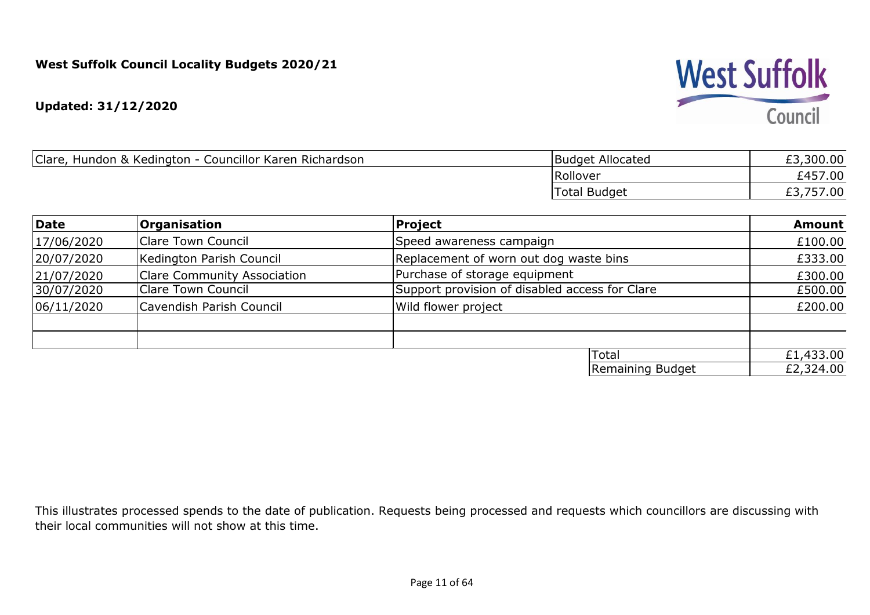#### **Updated: 31/12/2020**

| Clare,<br>Councillor Karen Richardson<br>Hundon & Kedington - | Budget Allocated | £3,300.00  |
|---------------------------------------------------------------|------------------|------------|
|                                                               | Rollover         | £457.00    |
|                                                               | Total Budget     | 57.00<br>້ |

| Date                                   | <b>Organisation</b>                | Project                                        | <b>Amount</b> |
|----------------------------------------|------------------------------------|------------------------------------------------|---------------|
| 17/06/2020                             | <b>Clare Town Council</b>          | Speed awareness campaign                       | £100.00       |
| 20/07/2020                             | Kedington Parish Council           | Replacement of worn out dog waste bins         | £333.00       |
| 21/07/2020                             | <b>Clare Community Association</b> | Purchase of storage equipment                  | £300.00       |
| 30/07/2020                             | Clare Town Council                 | Support provision of disabled access for Clare | £500.00       |
| Cavendish Parish Council<br>06/11/2020 | Wild flower project                | £200.00                                        |               |
|                                        |                                    |                                                |               |
|                                        |                                    |                                                |               |
|                                        |                                    | <b>Total</b>                                   | £1,433.00     |
|                                        |                                    | Remaining Budget                               | £2,324.00     |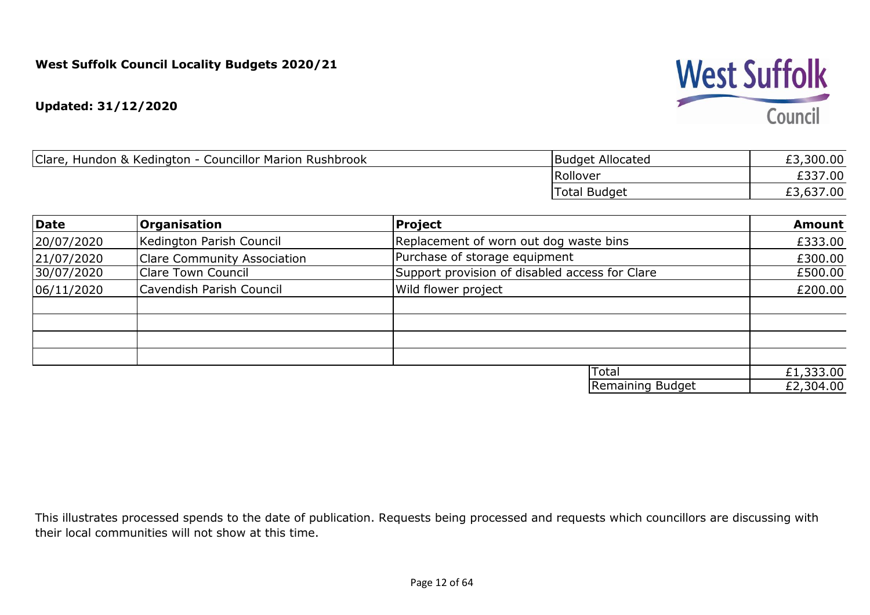**Updated: 31/12/2020**

| Clare,<br>Hundon & Kedington - Councillor Marion Rushbrook | Budget Allocated | £3,300.00 |
|------------------------------------------------------------|------------------|-----------|
|                                                            | Rollover         | £337.00   |
|                                                            | Total Budget     | £3,637.00 |

| Date       | <b>Organisation</b>                | Project                                        | <b>Amount</b>          |
|------------|------------------------------------|------------------------------------------------|------------------------|
| 20/07/2020 | Kedington Parish Council           | Replacement of worn out dog waste bins         | £333.00                |
| 21/07/2020 | <b>Clare Community Association</b> | Purchase of storage equipment                  | £300.00                |
| 30/07/2020 | <b>Clare Town Council</b>          | Support provision of disabled access for Clare | £500.00                |
| 06/11/2020 | <b>Cavendish Parish Council</b>    | Wild flower project                            | £200.00                |
|            |                                    |                                                |                        |
|            |                                    |                                                |                        |
|            |                                    | Total                                          |                        |
|            |                                    | Remaining Budget                               | £1,333.00<br>£2,304.00 |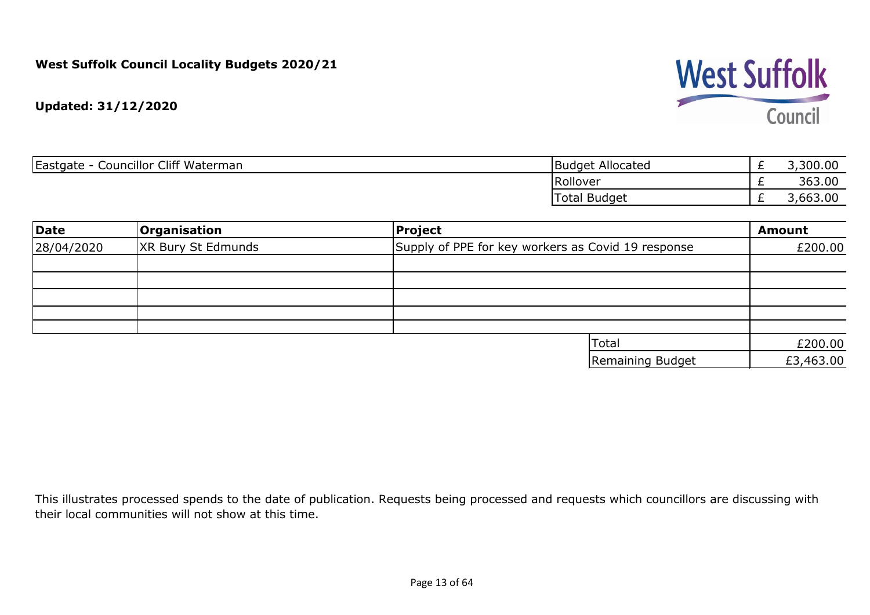

| Eastgate<br><b>Councillor Cliff Waterman</b><br>- | Budget Allocated    | <u>_</u> | 3,300.00 |
|---------------------------------------------------|---------------------|----------|----------|
|                                                   | Rollover            | <u>_</u> | 363.00   |
|                                                   | <b>Total Budget</b> |          | 3,663.00 |

| <b>Date</b>                             | <b>Organisation</b> | Project                                            | <b>Amount</b> |
|-----------------------------------------|---------------------|----------------------------------------------------|---------------|
| <b>XR Bury St Edmunds</b><br>28/04/2020 |                     | Supply of PPE for key workers as Covid 19 response | £200.00       |
|                                         |                     |                                                    |               |
|                                         |                     |                                                    |               |
|                                         |                     |                                                    |               |
|                                         |                     |                                                    |               |
|                                         |                     |                                                    |               |
|                                         |                     | Total                                              | £200.00       |
|                                         |                     | Remaining Budget                                   | £3,463.00     |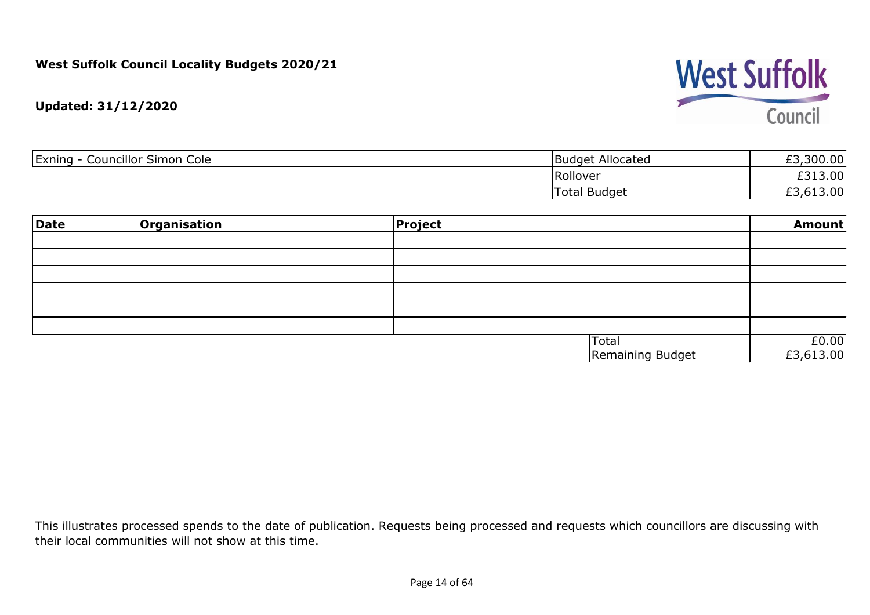

**Updated: 31/12/2020**

| <b>Councillor Simon Cole</b><br>Exning - | <b>Budget Allocated</b> | 300.00<br><b>CO</b> |
|------------------------------------------|-------------------------|---------------------|
|                                          | Rollover                | £313.00             |
|                                          | 'Total Budget           | £3,613.00           |

| Date | Organisation | <b>Project</b> |                  | <b>Amount</b> |
|------|--------------|----------------|------------------|---------------|
|      |              |                |                  |               |
|      |              |                |                  |               |
|      |              |                |                  |               |
|      |              |                |                  |               |
|      |              |                |                  |               |
|      |              |                |                  |               |
|      |              |                | Total            | £0.00         |
|      |              |                | Remaining Budget | £3,613.00     |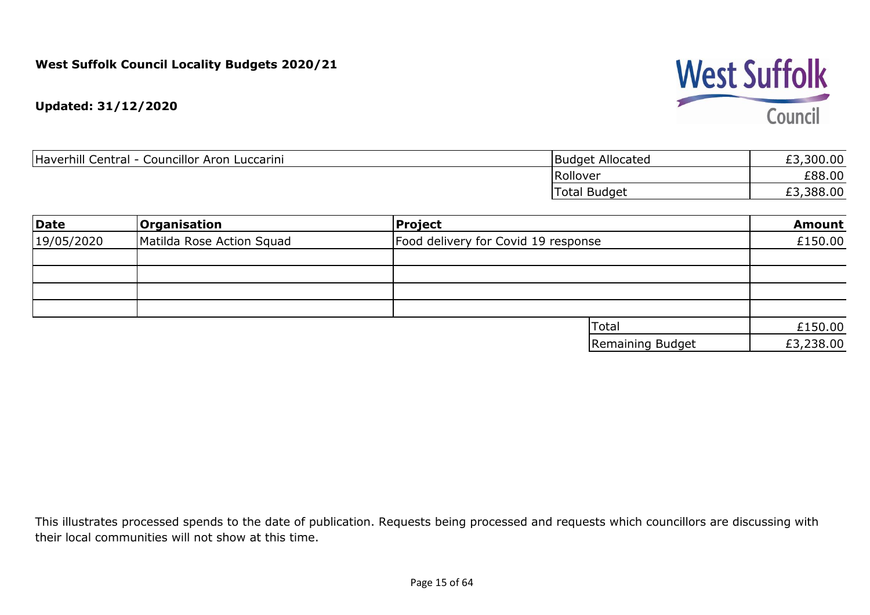

| Haverhill Central<br>Councillor Aron<br>Luccarini | <b>Budget Allocated</b> | ,300.00<br>c            |
|---------------------------------------------------|-------------------------|-------------------------|
|                                                   | Rollover                | £88.00                  |
|                                                   | <b>Total Budget</b>     | ,388.00<br>$\sim$<br>とつ |

| Date       | <b>Organisation</b>       | Project                             | <b>Amount</b> |
|------------|---------------------------|-------------------------------------|---------------|
| 19/05/2020 | Matilda Rose Action Squad | Food delivery for Covid 19 response | £150.00       |
|            |                           |                                     |               |
|            |                           |                                     |               |
|            |                           |                                     |               |
|            |                           |                                     |               |
|            |                           | 'Total                              | £150.00       |
|            |                           | Remaining Budget                    | £3,238.00     |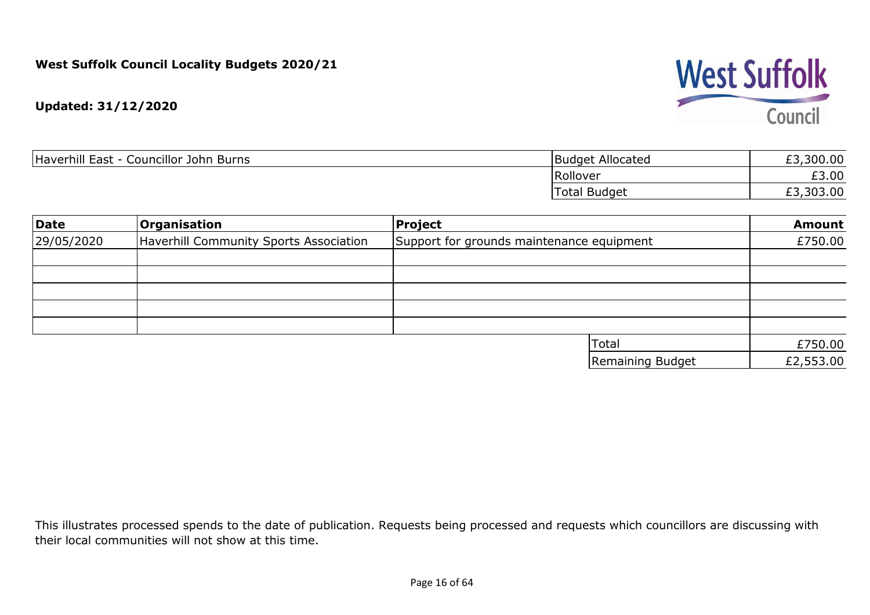

| Haverhill East<br>: - Councillor John Burns | <b>Budget Allocated</b> | ,300.00<br>$\sim$ |
|---------------------------------------------|-------------------------|-------------------|
|                                             | Rollover                | £3.00             |
|                                             | <b>Total Budget</b>     | ,303.00<br>$\sim$ |

| Date       | <b>Organisation</b>                    | Project                                   | <b>Amount</b> |
|------------|----------------------------------------|-------------------------------------------|---------------|
| 29/05/2020 | Haverhill Community Sports Association | Support for grounds maintenance equipment | £750.00       |
|            |                                        |                                           |               |
|            |                                        |                                           |               |
|            |                                        |                                           |               |
|            |                                        |                                           |               |
|            |                                        |                                           |               |
|            |                                        | <b>Total</b>                              | £750.00       |
|            |                                        | Remaining Budget                          | £2,553.00     |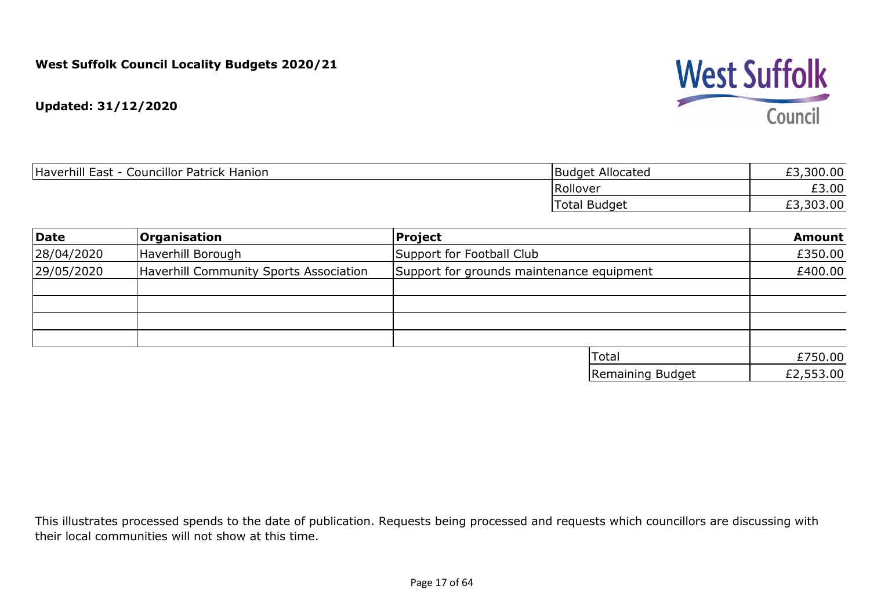

| <b>Councillor Patrick Hanion</b><br>Haverhill E<br>East | Allocated<br>Budget    | £3,300.00      |
|---------------------------------------------------------|------------------------|----------------|
|                                                         | Rollover               | ro nn<br>£3.UU |
|                                                         | <b>Budget</b><br>Гоtal | £3,303.00      |

| Date       | <b>Organisation</b>                    | Project                                   |                  | <b>Amount</b> |
|------------|----------------------------------------|-------------------------------------------|------------------|---------------|
| 28/04/2020 | Haverhill Borough                      | Support for Football Club                 |                  | £350.00       |
| 29/05/2020 | Haverhill Community Sports Association | Support for grounds maintenance equipment |                  | £400.00       |
|            |                                        |                                           |                  |               |
|            |                                        |                                           |                  |               |
|            |                                        |                                           |                  |               |
|            |                                        |                                           |                  |               |
|            |                                        |                                           | Total            | £750.00       |
|            |                                        |                                           | Remaining Budget | £2,553.00     |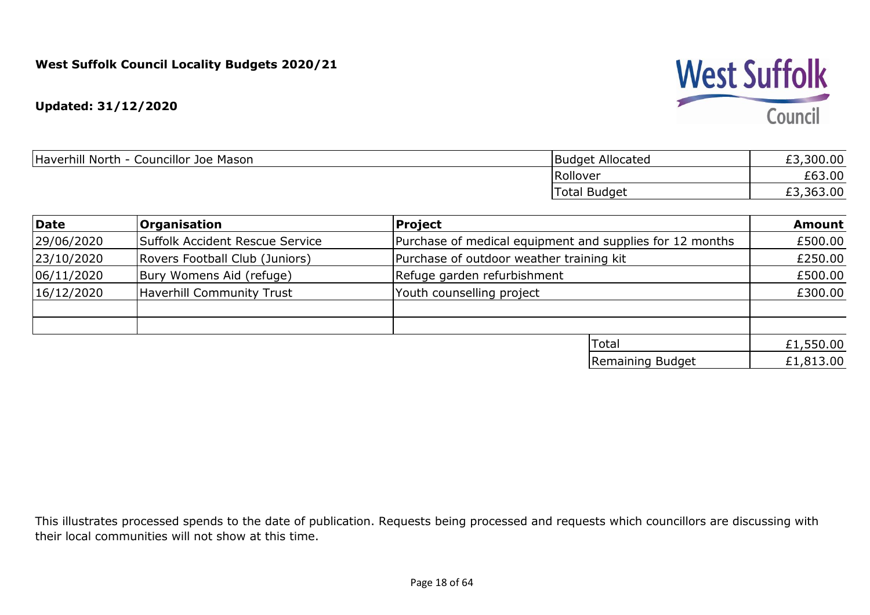**Updated: 31/12/2020**

| Haverhill North -<br>- Councillor Joe Mason | <b>Budget Allocated</b> | £3,300.00 |
|---------------------------------------------|-------------------------|-----------|
|                                             | Rollover                | £63.00    |
|                                             | <b>Total Budget</b>     | ,363.00   |

| Date       | <b>Organisation</b>             | Project                                                  | <b>Amount</b> |
|------------|---------------------------------|----------------------------------------------------------|---------------|
| 29/06/2020 | Suffolk Accident Rescue Service | Purchase of medical equipment and supplies for 12 months | £500.00       |
| 23/10/2020 | Rovers Football Club (Juniors)  | Purchase of outdoor weather training kit                 | £250.00       |
| 06/11/2020 | Bury Womens Aid (refuge)        | Refuge garden refurbishment                              | £500.00       |
| 16/12/2020 | Haverhill Community Trust       | Youth counselling project                                | £300.00       |
|            |                                 |                                                          |               |
|            |                                 |                                                          |               |
|            |                                 | <b>Total</b>                                             | £1,550.00     |
|            |                                 | Remaining Budget                                         | £1,813.00     |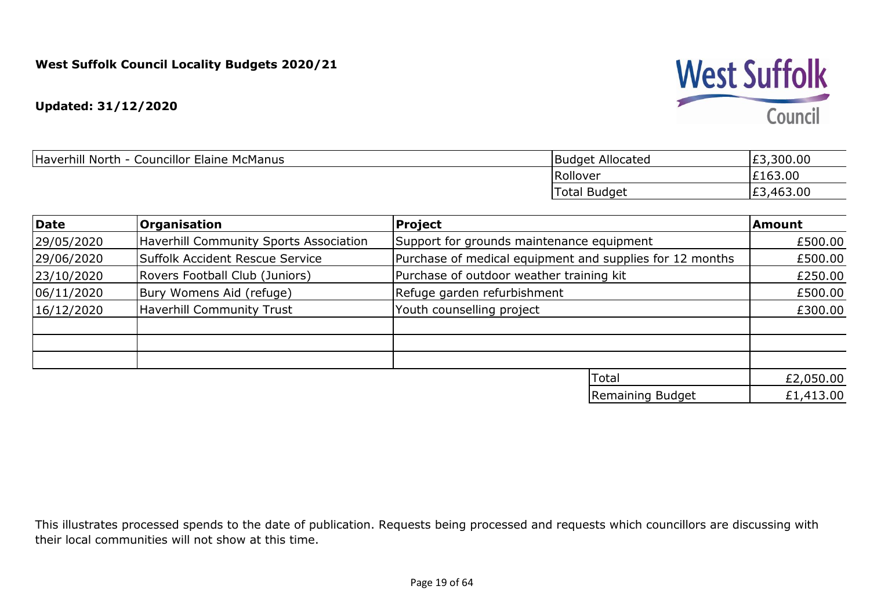**Updated: 31/12/2020**

| <b>Councillor Elaine McManus</b><br>Haverhill North<br>- | : Allocated<br>Budget | E3,300.00                 |
|----------------------------------------------------------|-----------------------|---------------------------|
|                                                          | Rollover              | £163.00                   |
|                                                          | Total Budget          | ,463.00<br>E <sub>3</sub> |

| Date       | <b>Organisation</b>                    | Project                                                  | Amount    |
|------------|----------------------------------------|----------------------------------------------------------|-----------|
| 29/05/2020 | Haverhill Community Sports Association | Support for grounds maintenance equipment                | £500.00   |
| 29/06/2020 | Suffolk Accident Rescue Service        | Purchase of medical equipment and supplies for 12 months | £500.00   |
| 23/10/2020 | Rovers Football Club (Juniors)         | Purchase of outdoor weather training kit                 | £250.00   |
| 06/11/2020 | Bury Womens Aid (refuge)               | Refuge garden refurbishment                              | £500.00   |
| 16/12/2020 | Haverhill Community Trust              | Youth counselling project                                | £300.00   |
|            |                                        |                                                          |           |
|            |                                        |                                                          |           |
|            |                                        |                                                          |           |
|            |                                        | Total                                                    | £2,050.00 |
|            |                                        | Remaining Budget                                         | £1,413.00 |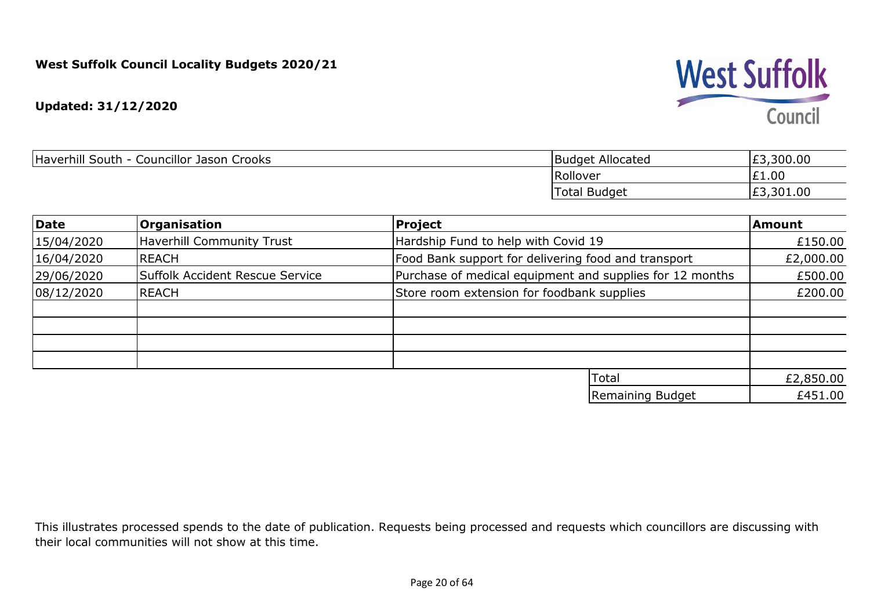**Updated: 31/12/2020**

| Haverhill South - Councillor Jason Crooks | <b>Budget Allocated</b> | ,300.00<br>co<br>とつ |
|-------------------------------------------|-------------------------|---------------------|
|                                           | Rollover                | £1.00               |
|                                           | <b>Total Budget</b>     | £3,301.00           |

| Date       | <b>Organisation</b>              | Project                                                  | Amount    |
|------------|----------------------------------|----------------------------------------------------------|-----------|
| 15/04/2020 | <b>Haverhill Community Trust</b> | Hardship Fund to help with Covid 19                      | £150.00   |
| 16/04/2020 | REACH                            | Food Bank support for delivering food and transport      | £2,000.00 |
| 29/06/2020 | Suffolk Accident Rescue Service  | Purchase of medical equipment and supplies for 12 months | £500.00   |
| 08/12/2020 | REACH                            | Store room extension for foodbank supplies               | £200.00   |
|            |                                  |                                                          |           |
|            |                                  |                                                          |           |
|            |                                  |                                                          |           |
|            |                                  |                                                          |           |
|            |                                  | Total                                                    | £2,850.00 |
|            |                                  | Remaining Budget                                         | £451.00   |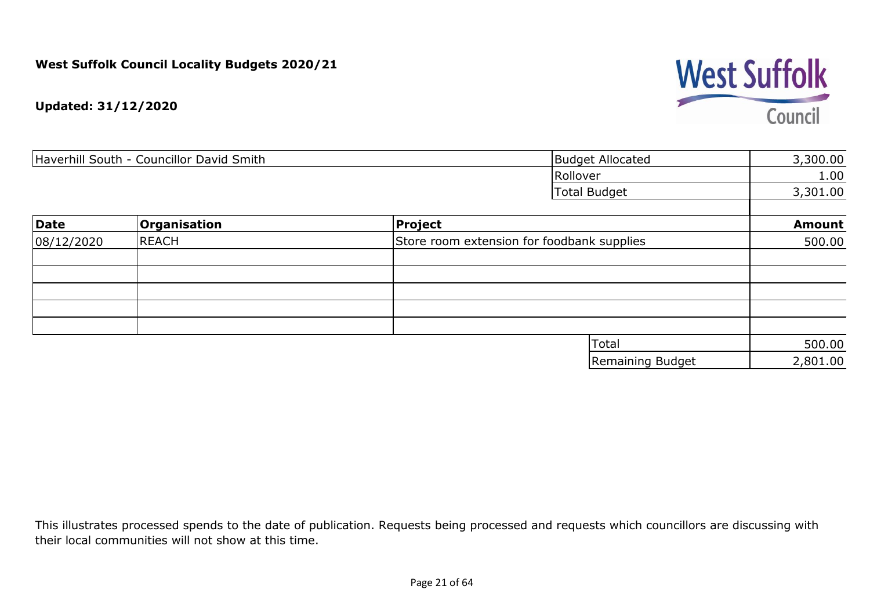

| Haverhill South - Councillor David Smith |              | <b>Budget Allocated</b> | 3,300.00                                   |               |
|------------------------------------------|--------------|-------------------------|--------------------------------------------|---------------|
|                                          |              |                         | Rollover                                   | 1.00          |
|                                          |              |                         | <b>Total Budget</b>                        | 3,301.00      |
| Date                                     | Organisation | <b>Project</b>          |                                            | <b>Amount</b> |
| 08/12/2020                               | <b>REACH</b> |                         | Store room extension for foodbank supplies | 500.00        |
|                                          |              |                         |                                            |               |
|                                          |              |                         |                                            |               |
|                                          |              |                         |                                            |               |
|                                          |              |                         |                                            |               |
|                                          |              |                         |                                            |               |
|                                          |              |                         | Total                                      | 500.00        |
|                                          |              |                         | <b>Remaining Budget</b>                    | 2,801.00      |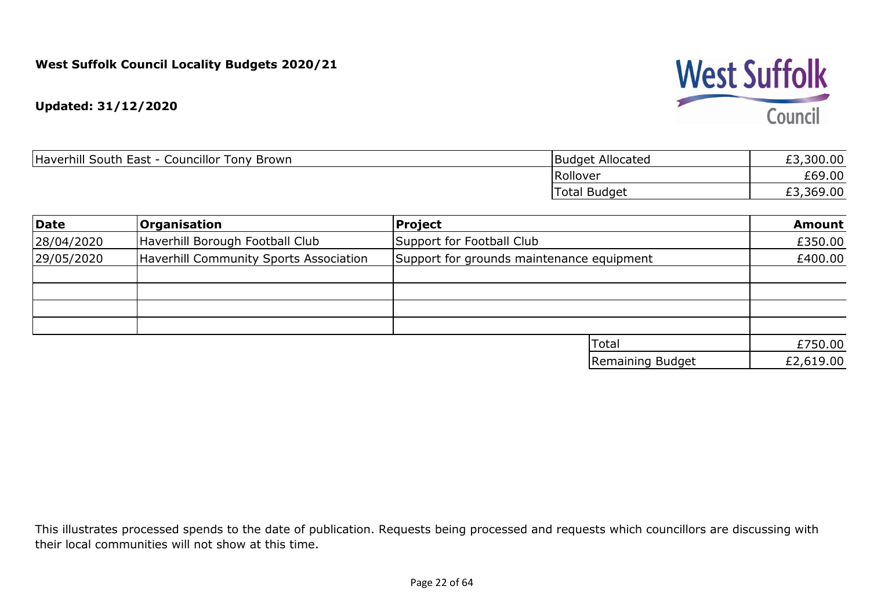

| Haverhill South East -<br><b>Councillor Tony Brown</b> | <b>Budget Allocated</b> | £3,300.00 |
|--------------------------------------------------------|-------------------------|-----------|
|                                                        | Rollover                | £69.00    |
|                                                        | <b>Total Budget</b>     | £3,369.00 |

| Date       | <b>Organisation</b>                    | Project                                   | <b>Amount</b> |
|------------|----------------------------------------|-------------------------------------------|---------------|
| 28/04/2020 | Haverhill Borough Football Club        | Support for Football Club                 | £350.00       |
| 29/05/2020 | Haverhill Community Sports Association | Support for grounds maintenance equipment | £400.00       |
|            |                                        |                                           |               |
|            |                                        |                                           |               |
|            |                                        |                                           |               |
|            |                                        |                                           |               |
|            |                                        | Total                                     | £750.00       |
|            |                                        | Remaining Budget                          | £2,619.00     |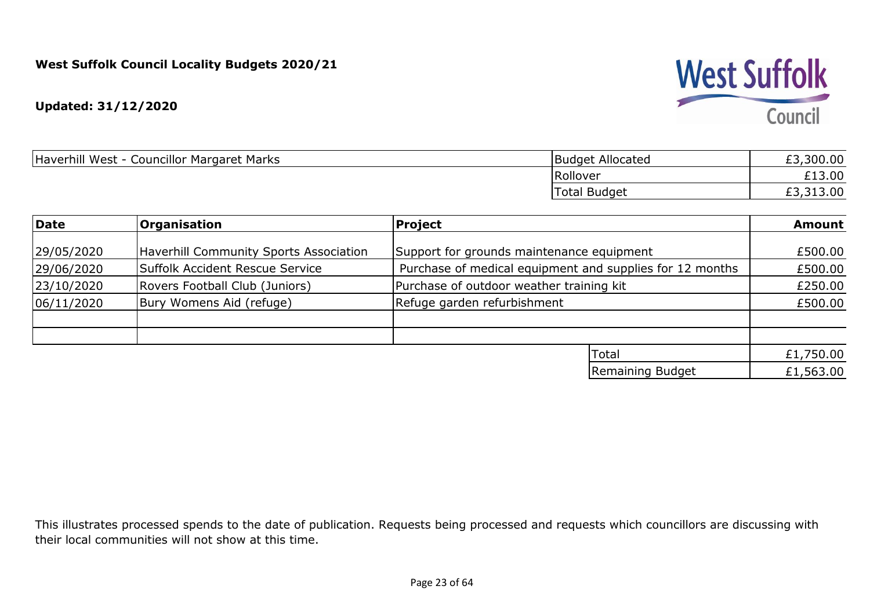#### **Updated: 31/12/2020**

| Haverhill West - Councillor Margaret Marks | Budget Allocated | £3,300.00 |
|--------------------------------------------|------------------|-----------|
|                                            | Rollover         | £13.00    |
|                                            | Total Budget     | £3,313.00 |

| Date       | <b>Organisation</b>                    | Project                                                  | <b>Amount</b> |
|------------|----------------------------------------|----------------------------------------------------------|---------------|
|            |                                        |                                                          |               |
| 29/05/2020 | Haverhill Community Sports Association | Support for grounds maintenance equipment                | £500.00       |
| 29/06/2020 | Suffolk Accident Rescue Service        | Purchase of medical equipment and supplies for 12 months | £500.00       |
| 23/10/2020 | Rovers Football Club (Juniors)         | Purchase of outdoor weather training kit                 | £250.00       |
| 06/11/2020 | Bury Womens Aid (refuge)               | Refuge garden refurbishment                              | £500.00       |
|            |                                        |                                                          |               |
|            |                                        |                                                          |               |
|            |                                        | Total                                                    | £1,750.00     |
|            |                                        | Remaining Budget                                         | £1,563.00     |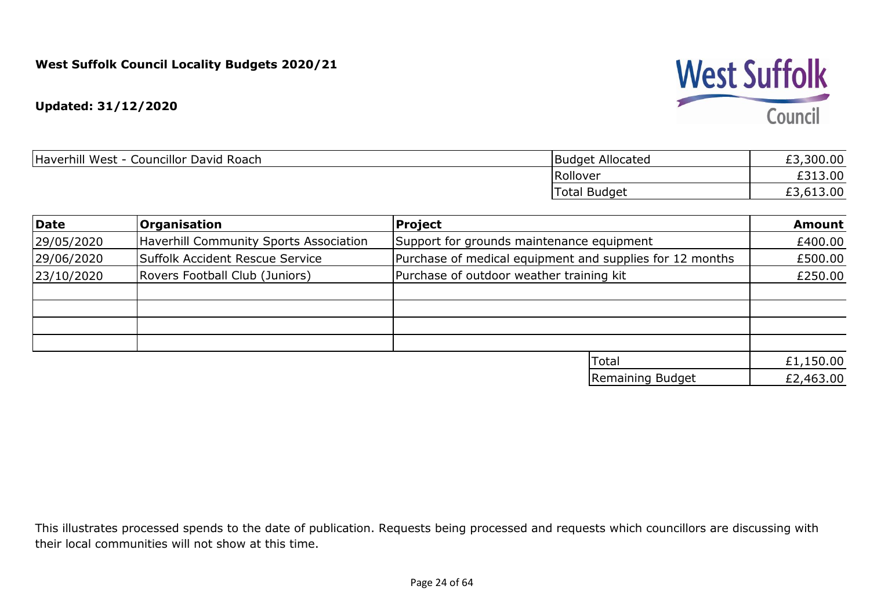

| <b>Budget Allocated</b> | 300.00    |
|-------------------------|-----------|
| Rollover                | .3.00     |
| 'Total Budget           | £3,613.00 |
|                         |           |

| Date       | <b>Organisation</b>                           | Project                                                  | <b>Amount</b> |
|------------|-----------------------------------------------|----------------------------------------------------------|---------------|
| 29/05/2020 | <b>Haverhill Community Sports Association</b> | Support for grounds maintenance equipment                | £400.00       |
| 29/06/2020 | Suffolk Accident Rescue Service               | Purchase of medical equipment and supplies for 12 months | £500.00       |
| 23/10/2020 | Rovers Football Club (Juniors)                | Purchase of outdoor weather training kit                 | £250.00       |
|            |                                               |                                                          |               |
|            |                                               |                                                          |               |
|            |                                               |                                                          |               |
|            |                                               |                                                          |               |
|            |                                               | Total                                                    | £1,150.00     |
|            |                                               | Remaining Budget                                         | £2,463.00     |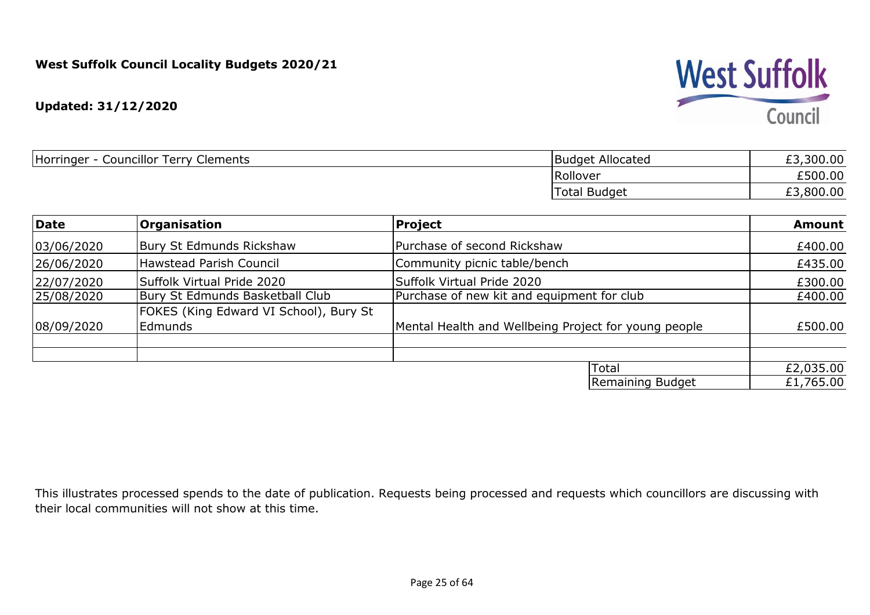#### **Updated: 31/12/2020**

| Councillor Terry<br>Horringer<br>Clements | Budget Allocated    | £3,300.00 |
|-------------------------------------------|---------------------|-----------|
|                                           | Rollover            | £500.00   |
|                                           | <b>Total Budget</b> | ,800.00   |

| Date       | <b>Organisation</b>                                      | <b>Project</b>                                       | <b>Amount</b> |
|------------|----------------------------------------------------------|------------------------------------------------------|---------------|
| 03/06/2020 | Bury St Edmunds Rickshaw                                 | Purchase of second Rickshaw                          | £400.00       |
| 26/06/2020 | <b>Hawstead Parish Council</b>                           | Community picnic table/bench                         | £435.00       |
| 22/07/2020 | Suffolk Virtual Pride 2020                               | Suffolk Virtual Pride 2020                           | £300.00       |
| 25/08/2020 | Bury St Edmunds Basketball Club                          | Purchase of new kit and equipment for club           | £400.00       |
| 08/09/2020 | FOKES (King Edward VI School), Bury St<br><b>Edmunds</b> | Mental Health and Wellbeing Project for young people | £500.00       |
|            |                                                          |                                                      |               |
|            |                                                          | Total                                                | £2,035.00     |
|            |                                                          | Remaining Budget                                     | £1,765.00     |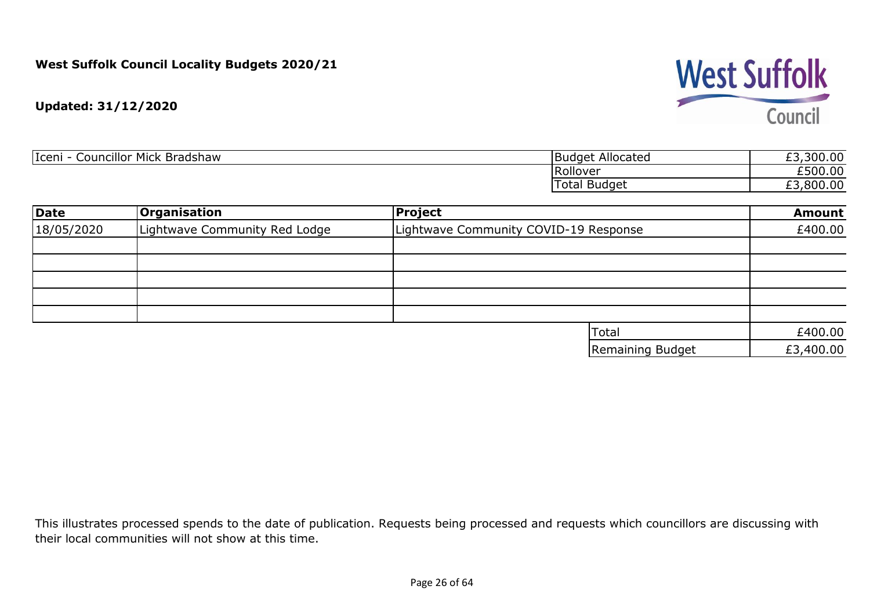

| Iceni<br>.<br><br>Mick<br>Councillor<br>Bradshaw | Allocated<br><b>Budget</b> | ,300.00<br>--<br>َ ب |
|--------------------------------------------------|----------------------------|----------------------|
|                                                  | <b>Rollover</b>            | £500.00              |
|                                                  | I Budget<br>Total          | ,800.00<br>--<br>້   |

| <b>Date</b> | <b>Organisation</b>           | <b>Project</b>                        | <b>Amount</b> |
|-------------|-------------------------------|---------------------------------------|---------------|
| 18/05/2020  | Lightwave Community Red Lodge | Lightwave Community COVID-19 Response | £400.00       |
|             |                               |                                       |               |
|             |                               |                                       |               |
|             |                               |                                       |               |
|             |                               |                                       |               |
|             |                               |                                       |               |
|             |                               | <b>Total</b>                          | £400.00       |
|             |                               | Remaining Budget                      | £3,400.00     |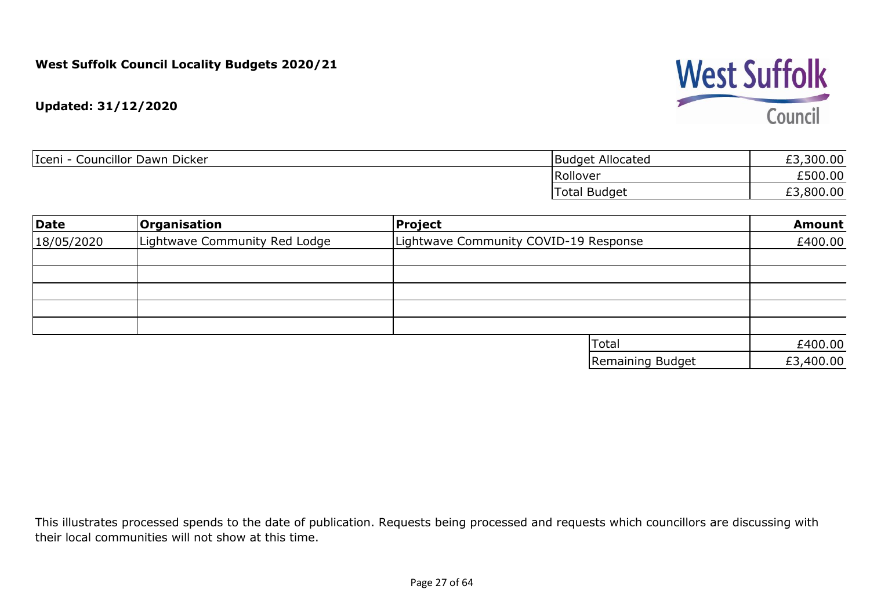

| Iceni<br>Councillor Dawn Dicker | Budget Allocated    | £3,300.00 |
|---------------------------------|---------------------|-----------|
|                                 | Rollover            | £500.00   |
|                                 | <b>Total Budget</b> | £3,800.00 |

| Date       | <b>Organisation</b>           | Project                               | <b>Amount</b> |
|------------|-------------------------------|---------------------------------------|---------------|
| 18/05/2020 | Lightwave Community Red Lodge | Lightwave Community COVID-19 Response | £400.00       |
|            |                               |                                       |               |
|            |                               |                                       |               |
|            |                               |                                       |               |
|            |                               |                                       |               |
|            |                               |                                       |               |
|            |                               | <b>Total</b>                          | £400.00       |
|            |                               | Remaining Budget                      | £3,400.00     |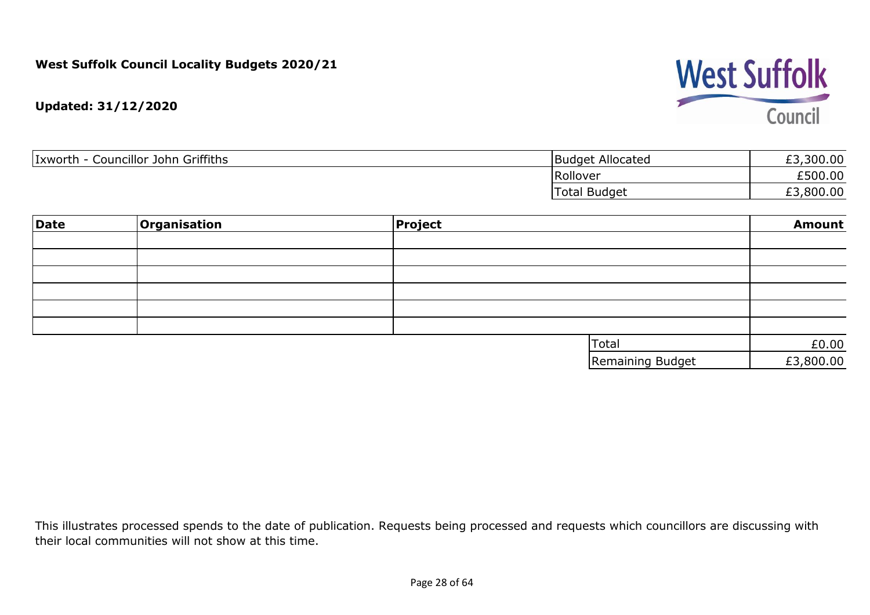

| Councillor John Griffiths<br>Ixworth | <b>Budget Allocated</b> | £3,300.00 |
|--------------------------------------|-------------------------|-----------|
|                                      | Rollover                | £500.00   |
|                                      | <b>Total Budget</b>     | 8,800.00  |

| Date | <b>Organisation</b> | <b>Project</b> |                  | <b>Amount</b> |
|------|---------------------|----------------|------------------|---------------|
|      |                     |                |                  |               |
|      |                     |                |                  |               |
|      |                     |                |                  |               |
|      |                     |                |                  |               |
|      |                     |                |                  |               |
|      |                     |                |                  |               |
|      |                     |                | Total            | £0.00         |
|      |                     |                | Remaining Budget | £3,800.00     |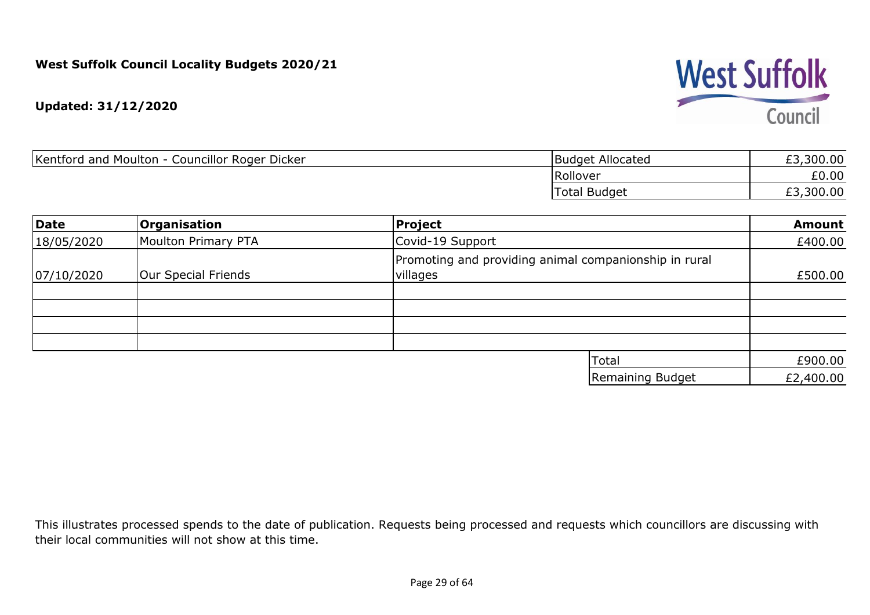

| Kentford and Moulton - Councillor Roger Dicker | Budget Allocated | £3,300.00 |
|------------------------------------------------|------------------|-----------|
|                                                | Rollover         | £0.00     |
|                                                | Total Budget     | £3,300.00 |

| Date       | <b>Organisation</b> | Project                                                           | <b>Amount</b> |
|------------|---------------------|-------------------------------------------------------------------|---------------|
| 18/05/2020 | Moulton Primary PTA | Covid-19 Support                                                  | £400.00       |
| 07/10/2020 | Our Special Friends | Promoting and providing animal companionship in rural<br>villages | £500.00       |
|            |                     |                                                                   |               |
|            |                     |                                                                   |               |
|            |                     |                                                                   |               |
|            |                     |                                                                   |               |
|            |                     | Total                                                             | £900.00       |
|            |                     | Remaining Budget                                                  | £2,400.00     |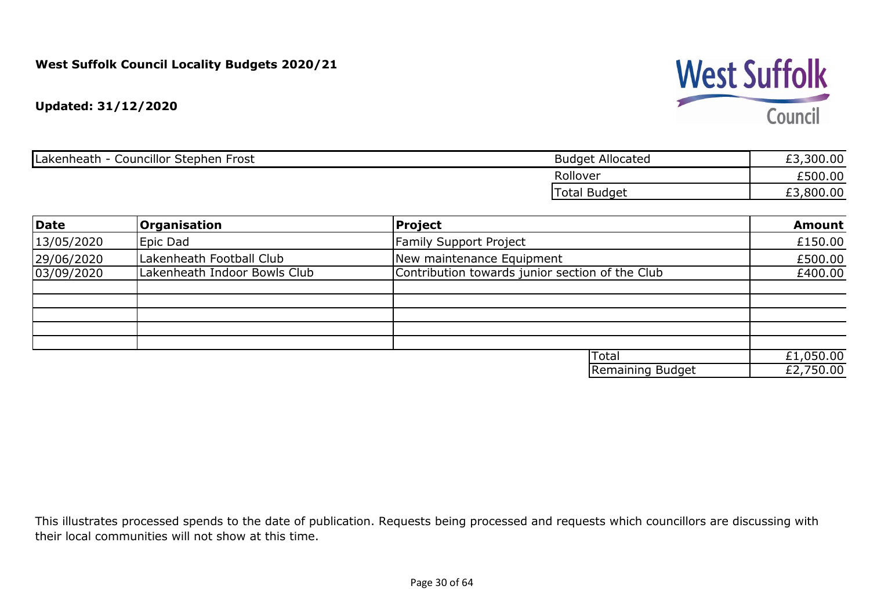

| <br>Councillor Stephen<br>Lakenheath<br>⊦Frost | <b>Budget Allocated</b> | ,300.00<br>ェっ |
|------------------------------------------------|-------------------------|---------------|
|                                                | Rollover                | £500.00       |
|                                                | Гоtal<br>l Budget       | ,800.00<br>£3 |

| Date       | <b>Organisation</b>          | Project                                         | <b>Amount</b> |
|------------|------------------------------|-------------------------------------------------|---------------|
| 13/05/2020 | Epic Dad                     | <b>Family Support Project</b>                   | £150.00       |
| 29/06/2020 | Lakenheath Football Club     | New maintenance Equipment                       | £500.00       |
| 03/09/2020 | Lakenheath Indoor Bowls Club | Contribution towards junior section of the Club | £400.00       |
|            |                              |                                                 |               |
|            |                              |                                                 |               |
|            |                              |                                                 |               |
|            |                              |                                                 |               |
|            |                              | Total                                           | £1,050.00     |
|            |                              | Remaining Budget                                | £2,750.00     |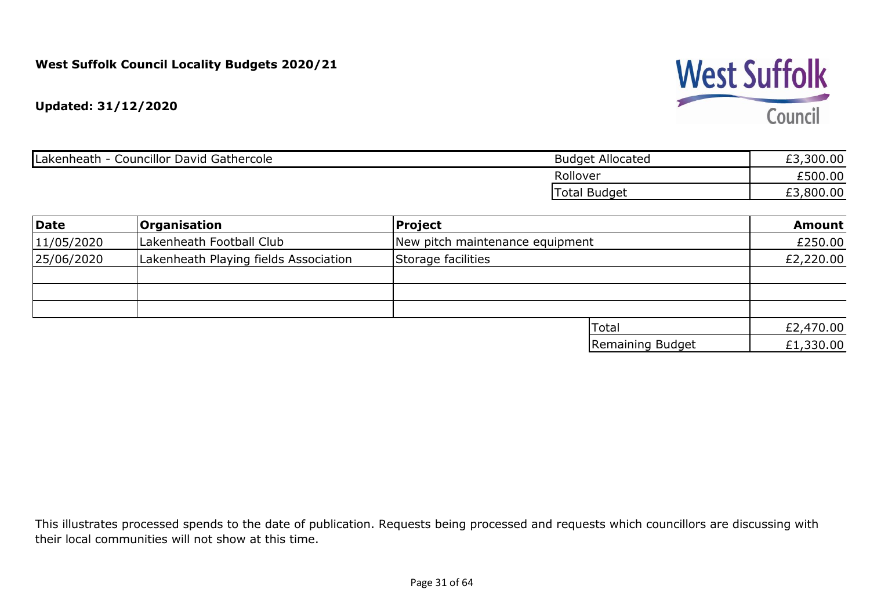

| Councillor David Gathercole<br>Lakenheath | <b>Budget Allocated</b> | ,300.00 |
|-------------------------------------------|-------------------------|---------|
|                                           | Rollover                | £500.00 |
|                                           | Total Budget            | ,800.00 |

| Date       | <b>Organisation</b>                   | <b>Project</b>                  | <b>Amount</b> |
|------------|---------------------------------------|---------------------------------|---------------|
| 11/05/2020 | Lakenheath Football Club              | New pitch maintenance equipment | £250.00       |
| 25/06/2020 | Lakenheath Playing fields Association | Storage facilities              | £2,220.00     |
|            |                                       |                                 |               |
|            |                                       |                                 |               |
|            |                                       |                                 |               |
|            |                                       | Total                           | £2,470.00     |
|            |                                       | Remaining Budget                | £1,330.00     |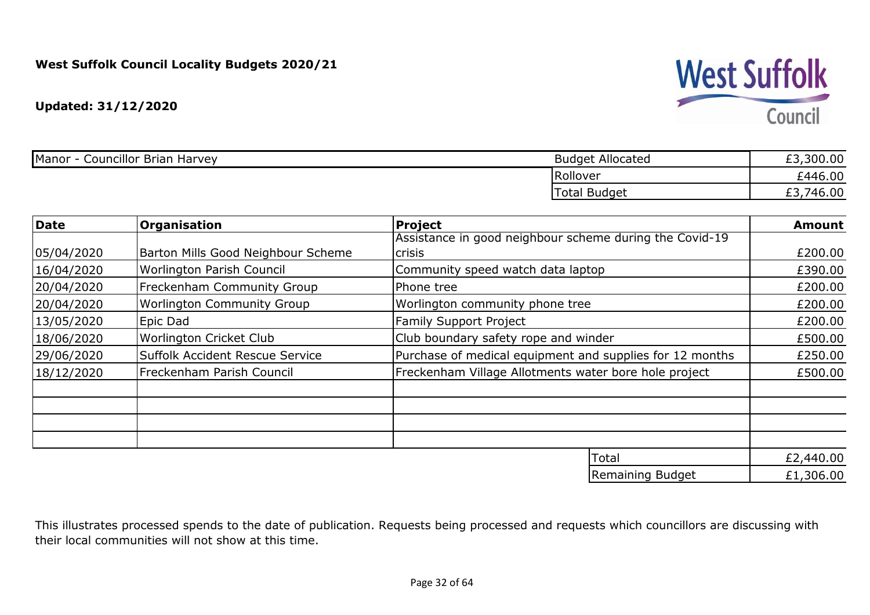**Updated: 31/12/2020**

| <b>Councillor Brian Harvey</b><br>Manor - | <b>Budget Allocated</b> | ,300.00<br>r di<br>とこ |
|-------------------------------------------|-------------------------|-----------------------|
|                                           | Rollover                | £446.00               |
|                                           | Total<br><b>Budget</b>  | £3,746.00             |

| Date       | <b>Organisation</b>                | <b>Project</b>                                           | <b>Amount</b> |
|------------|------------------------------------|----------------------------------------------------------|---------------|
|            |                                    | Assistance in good neighbour scheme during the Covid-19  |               |
| 05/04/2020 | Barton Mills Good Neighbour Scheme | <b>crisis</b>                                            | £200.00       |
| 16/04/2020 | Worlington Parish Council          | Community speed watch data laptop                        | £390.00       |
| 20/04/2020 | <b>Freckenham Community Group</b>  | Phone tree                                               | £200.00       |
| 20/04/2020 | <b>Worlington Community Group</b>  | Worlington community phone tree                          | £200.00       |
| 13/05/2020 | Epic Dad                           | <b>Family Support Project</b>                            | £200.00       |
| 18/06/2020 | Worlington Cricket Club            | Club boundary safety rope and winder                     | £500.00       |
| 29/06/2020 | Suffolk Accident Rescue Service    | Purchase of medical equipment and supplies for 12 months | £250.00       |
| 18/12/2020 | Freckenham Parish Council          | Freckenham Village Allotments water bore hole project    | £500.00       |
|            |                                    |                                                          |               |
|            |                                    |                                                          |               |
|            |                                    |                                                          |               |
|            |                                    |                                                          |               |
|            |                                    | Total                                                    | £2,440.00     |

£1,306.00 Remaining Budget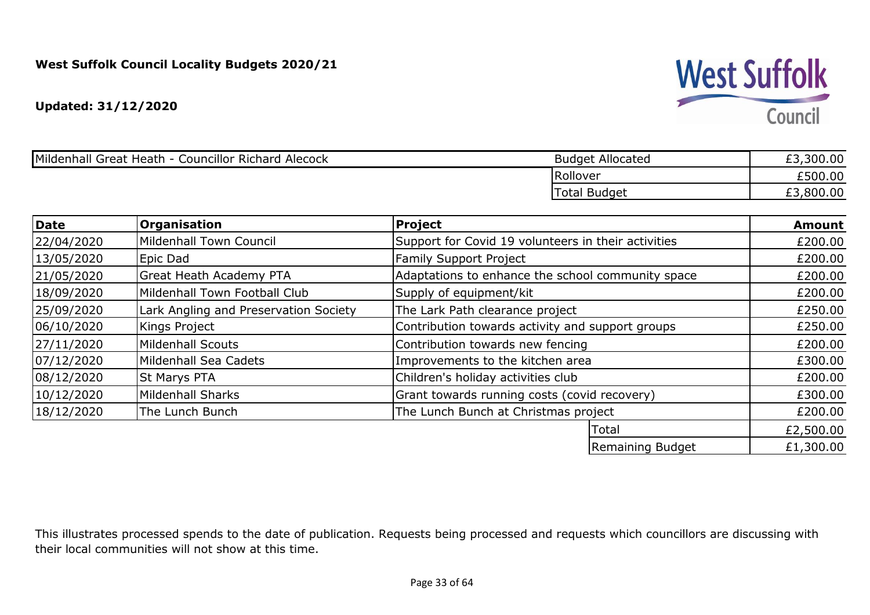**Updated: 31/12/2020**

| Mildenhall Great Heath<br><b>Councillor Richard Alecock</b> | <b>Budget Allocated</b> | £3,300.00 |
|-------------------------------------------------------------|-------------------------|-----------|
|                                                             | Rollover                | £500.00   |
|                                                             | <b>Total Budget</b>     | £3,800.00 |

| <b>Date</b> | <b>Organisation</b>                   | <b>Project</b>                                      | <b>Amount</b> |
|-------------|---------------------------------------|-----------------------------------------------------|---------------|
| 22/04/2020  | Mildenhall Town Council               | Support for Covid 19 volunteers in their activities | £200.00       |
| 13/05/2020  | Epic Dad                              | <b>Family Support Project</b>                       | £200.00       |
| 21/05/2020  | <b>Great Heath Academy PTA</b>        | Adaptations to enhance the school community space   | £200.00       |
| 18/09/2020  | Mildenhall Town Football Club         | Supply of equipment/kit                             | £200.00       |
| 25/09/2020  | Lark Angling and Preservation Society | The Lark Path clearance project                     | £250.00       |
| 06/10/2020  | Kings Project                         | Contribution towards activity and support groups    | £250.00       |
| 27/11/2020  | Mildenhall Scouts                     | Contribution towards new fencing                    | £200.00       |
| 07/12/2020  | Mildenhall Sea Cadets                 | Improvements to the kitchen area                    | £300.00       |
| 08/12/2020  | <b>St Marys PTA</b>                   | Children's holiday activities club                  | £200.00       |
| 10/12/2020  | <b>Mildenhall Sharks</b>              | Grant towards running costs (covid recovery)        | £300.00       |
| 18/12/2020  | The Lunch Bunch                       | The Lunch Bunch at Christmas project                | £200.00       |
|             |                                       | Total                                               | £2,500.00     |
|             |                                       | Remaining Budget                                    | £1,300.00     |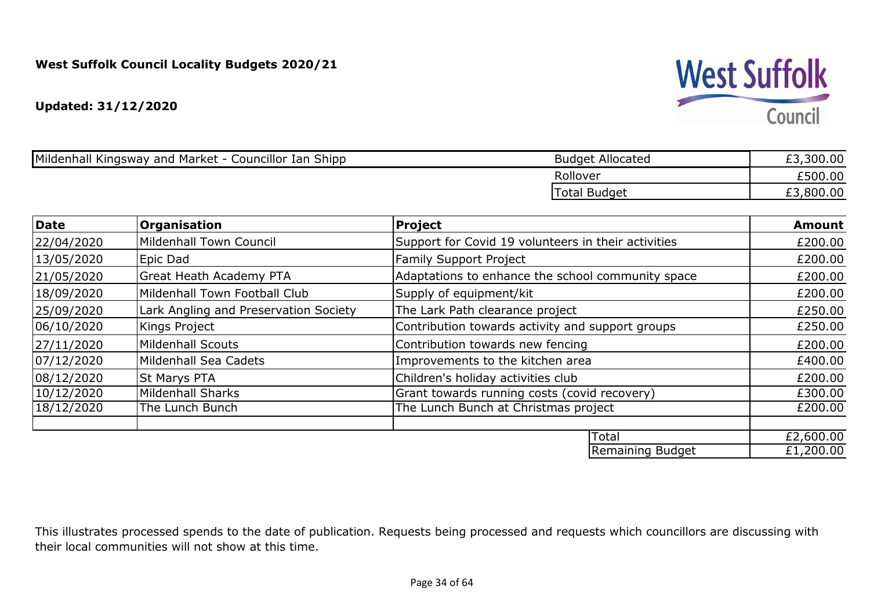**Updated: 31/12/2020**

| Mildenhall Kingsway and Market - Councillor Ian Shipp | <b>Budget Allocated</b> | ,300.00 |
|-------------------------------------------------------|-------------------------|---------|
|                                                       | Rollover                | £500.00 |
|                                                       | <b>Total Budget</b>     | ,800.00 |

| Date       | <b>Organisation</b>                   | <b>Project</b>                                      | <b>Amount</b> |
|------------|---------------------------------------|-----------------------------------------------------|---------------|
| 22/04/2020 | Mildenhall Town Council               | Support for Covid 19 volunteers in their activities | £200.00       |
| 13/05/2020 | Epic Dad                              | <b>Family Support Project</b>                       | £200.00       |
| 21/05/2020 | Great Heath Academy PTA               | Adaptations to enhance the school community space   | £200.00       |
| 18/09/2020 | Mildenhall Town Football Club         | Supply of equipment/kit                             | £200.00       |
| 25/09/2020 | Lark Angling and Preservation Society | The Lark Path clearance project                     | £250.00       |
| 06/10/2020 | Kings Project                         | Contribution towards activity and support groups    | £250.00       |
| 27/11/2020 | Mildenhall Scouts                     | Contribution towards new fencing                    | £200.00       |
| 07/12/2020 | Mildenhall Sea Cadets                 | Improvements to the kitchen area                    | £400.00       |
| 08/12/2020 | <b>St Marys PTA</b>                   | Children's holiday activities club                  | £200.00       |
| 10/12/2020 | <b>Mildenhall Sharks</b>              | Grant towards running costs (covid recovery)        | £300.00       |
| 18/12/2020 | The Lunch Bunch                       | The Lunch Bunch at Christmas project                | £200.00       |
|            |                                       |                                                     |               |
|            |                                       | Total                                               | £2,600.00     |
|            |                                       | Remaining Budget                                    | £1,200.00     |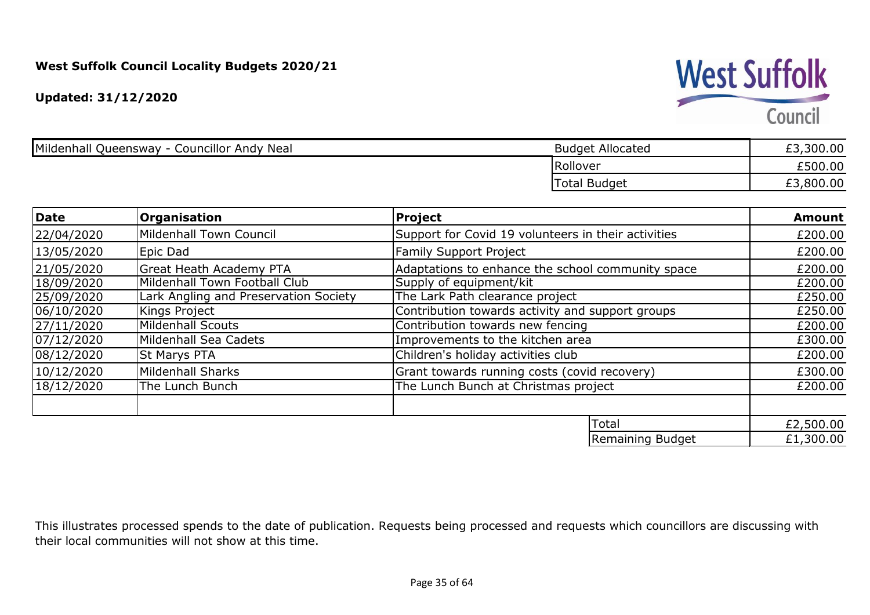## **West Suffolk**

Council

| Mildenhall Queensway - 0<br><b>Councillor Andy Neal</b> | <b>Budget Allocated</b> | ,300.00 |
|---------------------------------------------------------|-------------------------|---------|
|                                                         | Rollover                | £500.00 |
|                                                         | <b>Total Budget</b>     | ,800.00 |

| <b>Date</b> | <b>Organisation</b>                   | <b>Project</b>                                      | <b>Amount</b> |
|-------------|---------------------------------------|-----------------------------------------------------|---------------|
| 22/04/2020  | Mildenhall Town Council               | Support for Covid 19 volunteers in their activities | £200.00       |
| 13/05/2020  | Epic Dad                              | <b>Family Support Project</b>                       | £200.00       |
| 21/05/2020  | Great Heath Academy PTA               | Adaptations to enhance the school community space   | £200.00       |
| 18/09/2020  | Mildenhall Town Football Club         | Supply of equipment/kit                             | £200.00       |
| 25/09/2020  | Lark Angling and Preservation Society | The Lark Path clearance project                     | £250.00       |
| 06/10/2020  | Kings Project                         | Contribution towards activity and support groups    | £250.00       |
| 27/11/2020  | Mildenhall Scouts                     | Contribution towards new fencing                    | £200.00       |
| 07/12/2020  | Mildenhall Sea Cadets                 | Improvements to the kitchen area                    | £300.00       |
| 08/12/2020  | <b>St Marys PTA</b>                   | Children's holiday activities club                  | £200.00       |
| 10/12/2020  | Mildenhall Sharks                     | Grant towards running costs (covid recovery)        | £300.00       |
| 18/12/2020  | The Lunch Bunch                       | The Lunch Bunch at Christmas project                | £200.00       |
|             |                                       |                                                     |               |
|             |                                       | Total                                               | £2,500.00     |
|             |                                       | Remaining Budget                                    | £1,300.00     |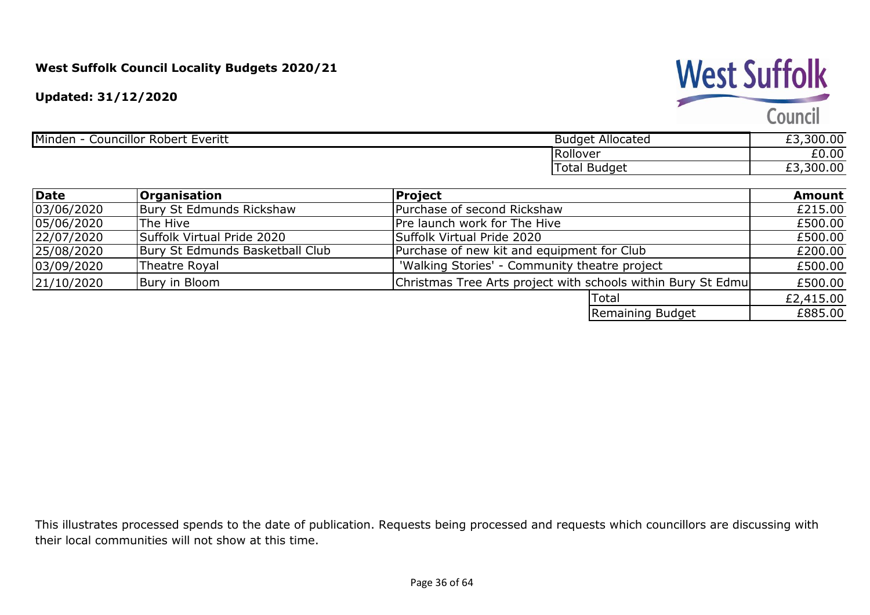**Updated: 31/12/2020**

## **West Suffolk**

Council

|          | 00.00<br><u>__</u>                      |
|----------|-----------------------------------------|
| Rollover | £0.00                                   |
| Budget   | 00.00<br><b>ra</b><br>nnn.<br><u>_ </u> |
|          |                                         |

| <b>Date</b> | <b>Organisation</b>             | Project                                                      | <b>Amount</b> |
|-------------|---------------------------------|--------------------------------------------------------------|---------------|
| 03/06/2020  | Bury St Edmunds Rickshaw        | Purchase of second Rickshaw                                  | £215.00       |
| 05/06/2020  | <b>The Hive</b>                 | <b>Pre launch work for The Hive</b>                          | £500.00       |
| 22/07/2020  | Suffolk Virtual Pride 2020      | <b>Suffolk Virtual Pride 2020</b>                            | £500.00       |
| 25/08/2020  | Bury St Edmunds Basketball Club | Purchase of new kit and equipment for Club                   | £200.00       |
| 03/09/2020  | Theatre Royal                   | 'Walking Stories' - Community theatre project                | £500.00       |
| 21/10/2020  | Bury in Bloom                   | Christmas Tree Arts project with schools within Bury St Edmu | £500.00       |
|             |                                 | <b>Total</b>                                                 | £2,415.00     |
|             |                                 | Remaining Budget                                             | £885.00       |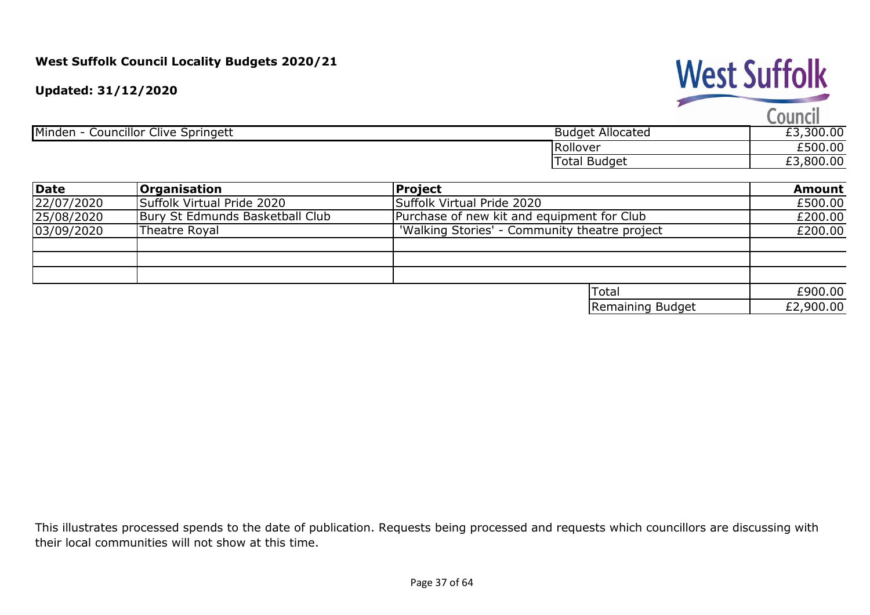**Updated: 31/12/2020**

## **West Suffolk**

Council

|                                                         |                             | <b>_____________</b> |
|---------------------------------------------------------|-----------------------------|----------------------|
| Minden<br>$\sim$ ouncillor $\sim$<br>Clive<br>Springett | <b>Budget</b><br>Allocated  | ,300.00              |
|                                                         | Rollover                    | £500.00              |
|                                                         | Budget<br><sup>-</sup> otal | 800.00               |
|                                                         |                             |                      |

| Date       | <b>Organisation</b>                                                   | Project                                    |           |  |  |  |
|------------|-----------------------------------------------------------------------|--------------------------------------------|-----------|--|--|--|
| 22/07/2020 | Suffolk Virtual Pride 2020                                            | Suffolk Virtual Pride 2020                 | £500.00   |  |  |  |
| 25/08/2020 | Bury St Edmunds Basketball Club                                       | Purchase of new kit and equipment for Club | £200.00   |  |  |  |
| 03/09/2020 | 'Walking Stories' - Community theatre project<br><b>Theatre Royal</b> |                                            |           |  |  |  |
|            |                                                                       |                                            |           |  |  |  |
|            |                                                                       |                                            |           |  |  |  |
|            |                                                                       |                                            |           |  |  |  |
|            |                                                                       | Total                                      | £900.00   |  |  |  |
|            |                                                                       | Remaining Budget                           | £2,900.00 |  |  |  |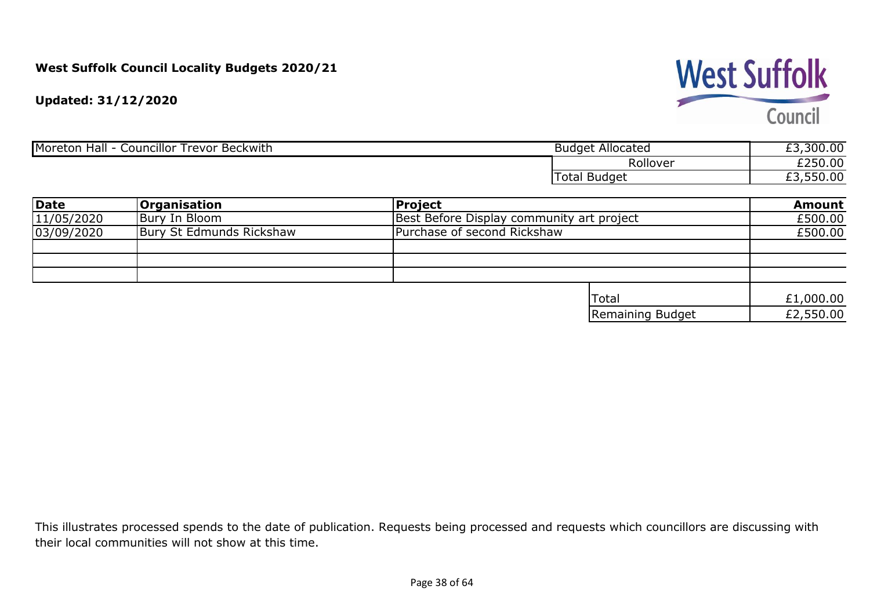**West Suffolk** Council

**Updated: 31/12/2020**

| Moreton<br><br>. .<br>Hall<br>Councillor Trevor Beckwith | : Allocated<br>Budget   | ,300.00<br>$\sim$ |
|----------------------------------------------------------|-------------------------|-------------------|
|                                                          | Rollover                | £250.00           |
|                                                          | г^+∩<br>Budget<br>ાળાતા | ,550.00           |

| Date       | <b>Organisation</b>      | Project                                   | <b>Amount</b> |  |
|------------|--------------------------|-------------------------------------------|---------------|--|
| 11/05/2020 | Bury In Bloom            | Best Before Display community art project | £500.00       |  |
| 03/09/2020 | Bury St Edmunds Rickshaw | Purchase of second Rickshaw               |               |  |
|            |                          |                                           |               |  |
|            |                          |                                           |               |  |
|            |                          |                                           |               |  |
|            |                          | <b>ITotal</b>                             | £1,000.00     |  |
|            |                          | Remaining Budget                          | £2,550.00     |  |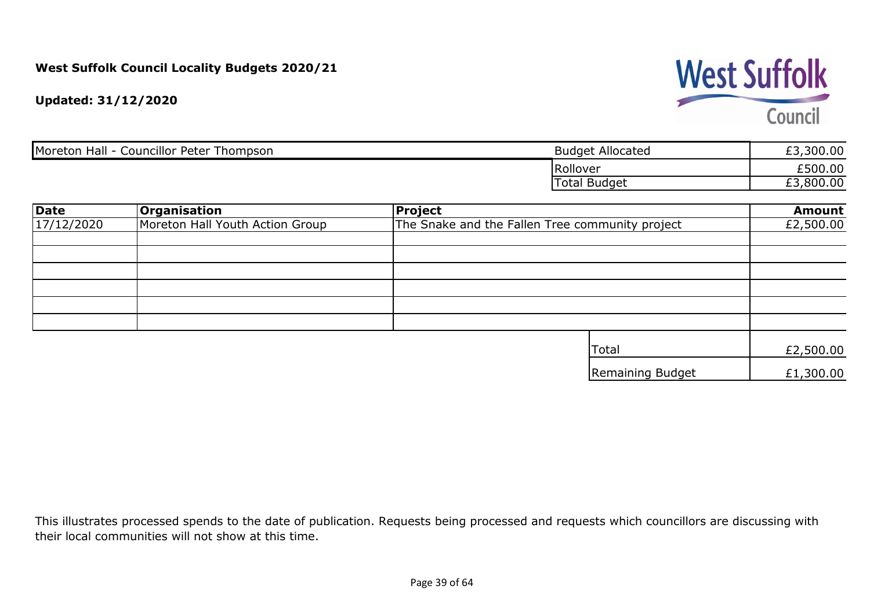**West Suffolk** Council

**Updated: 31/12/2020**

| Councillor Peter Thompson<br>Hall<br>Moreton | <b>Budget Allocated</b> | ,300.00 |
|----------------------------------------------|-------------------------|---------|
|                                              | Rollover                | £500.00 |
|                                              | <b>Budget</b><br>Гоtal  | ,800.00 |

| <b>Date</b> | <b>Organisation</b>             | <b>Project</b>                                  | <b>Amount</b> |
|-------------|---------------------------------|-------------------------------------------------|---------------|
| 17/12/2020  | Moreton Hall Youth Action Group | The Snake and the Fallen Tree community project | £2,500.00     |
|             |                                 |                                                 |               |
|             |                                 |                                                 |               |
|             |                                 |                                                 |               |
|             |                                 |                                                 |               |
|             |                                 |                                                 |               |
|             |                                 |                                                 |               |
|             |                                 | <b>Total</b>                                    | £2,500.00     |
|             |                                 | Remaining Budget                                | £1,300.00     |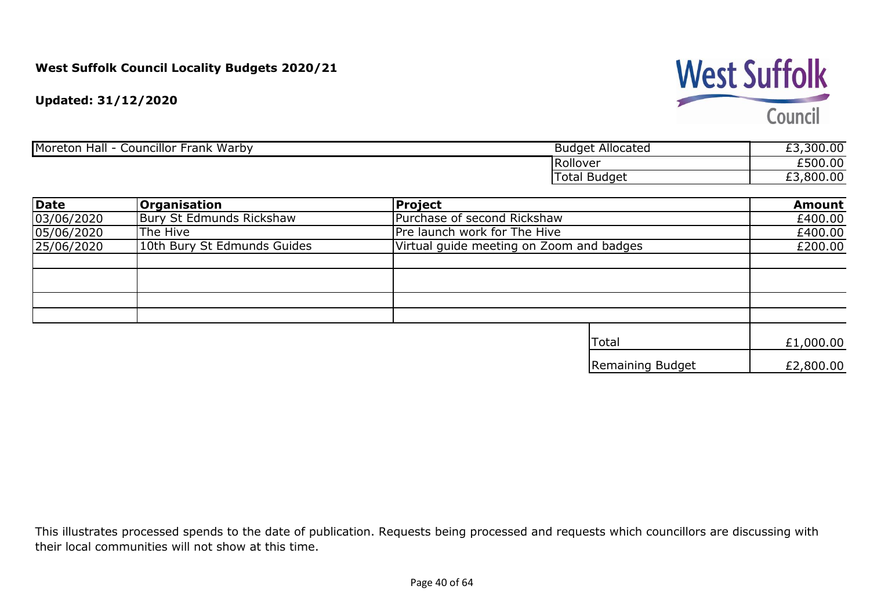**West Suffolk** Council

**Updated: 31/12/2020**

| Frank Warby<br>Moreton<br>Councillor<br><b>Hall</b> | <b>Budget Allocated</b> | ,300.00<br>-- |
|-----------------------------------------------------|-------------------------|---------------|
|                                                     | Rollover                | £500.00       |
|                                                     | I Budget<br>Total       | £3,800.00     |

| <b>Date</b> | <b>Organisation</b>         | <b>Project</b>                           | <b>Amount</b> |
|-------------|-----------------------------|------------------------------------------|---------------|
| 03/06/2020  | Bury St Edmunds Rickshaw    | Purchase of second Rickshaw              | £400.00       |
| 05/06/2020  | The Hive                    | Pre launch work for The Hive             | £400.00       |
| 25/06/2020  | 10th Bury St Edmunds Guides | Virtual guide meeting on Zoom and badges | £200.00       |
|             |                             |                                          |               |
|             |                             |                                          |               |
|             |                             |                                          |               |
|             |                             |                                          |               |
|             |                             |                                          |               |
|             |                             | Total                                    | £1,000.00     |
|             |                             | Remaining Budget                         | £2,800.00     |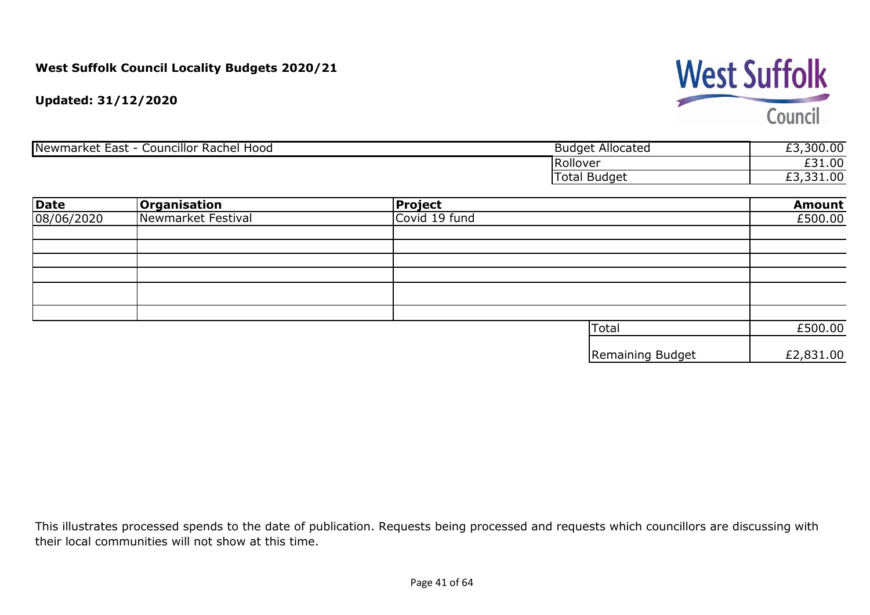

**Updated: 31/12/2020**

| Rachel Hood<br>Newmarket<br>Councillor<br>East | <b>Budget Allocated</b> | ,300.00<br>$\sim$<br>_ _ |
|------------------------------------------------|-------------------------|--------------------------|
|                                                | Rollover                | £31.00                   |
|                                                | <b>Budget</b><br>l otal | £3,331.00                |

| <b>Date</b> | <b>Organisation</b> | <b>Project</b> |                  | <b>Amount</b> |
|-------------|---------------------|----------------|------------------|---------------|
| 08/06/2020  | Newmarket Festival  | Covid 19 fund  |                  | £500.00       |
|             |                     |                |                  |               |
|             |                     |                |                  |               |
|             |                     |                |                  |               |
|             |                     |                |                  |               |
|             |                     |                |                  |               |
|             |                     |                |                  |               |
|             |                     |                |                  |               |
|             |                     |                | Total            | £500.00       |
|             |                     |                | Remaining Budget | £2,831.00     |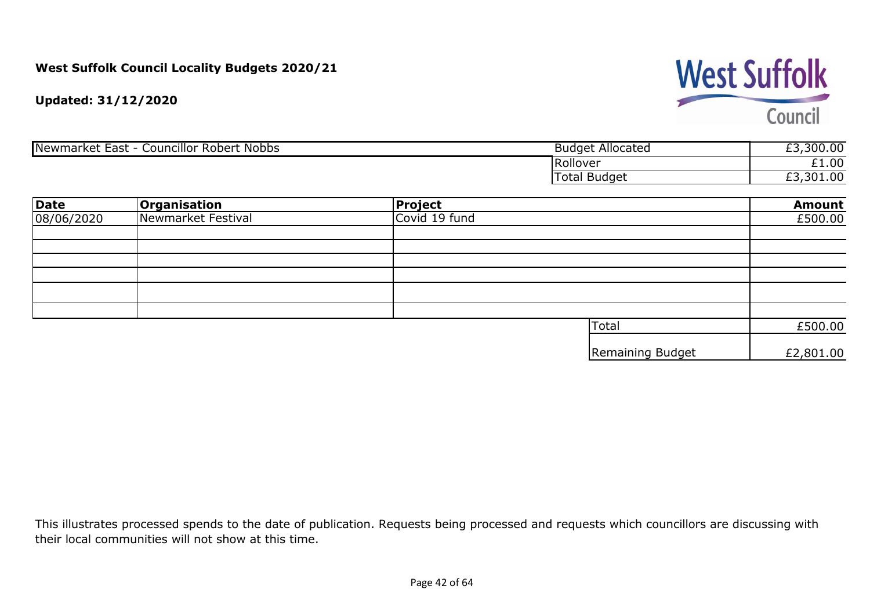

**Updated: 31/12/2020**

| Newmarket <sup>r</sup><br>Councillor Robert<br>Nobbs<br>East | –<br><b>Budget Allocated</b> | £3,300.00 |
|--------------------------------------------------------------|------------------------------|-----------|
|                                                              | Rollover                     | £1.00     |
|                                                              | Total Budget                 | £3,301.00 |

| <b>Date</b> | <b>Organisation</b> | <b>Project</b> |                  | <b>Amount</b> |
|-------------|---------------------|----------------|------------------|---------------|
| 08/06/2020  | Newmarket Festival  | Covid 19 fund  |                  | £500.00       |
|             |                     |                |                  |               |
|             |                     |                |                  |               |
|             |                     |                |                  |               |
|             |                     |                |                  |               |
|             |                     |                |                  |               |
|             |                     |                |                  |               |
|             |                     |                | <b>Total</b>     | £500.00       |
|             |                     |                | Remaining Budget | £2,801.00     |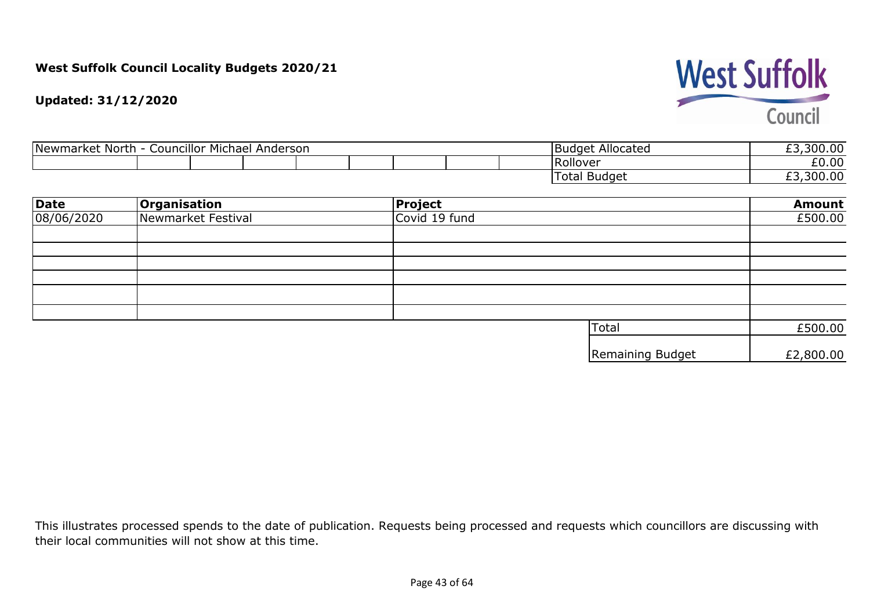

**Updated: 31/12/2020**

| <b>Councillor Michael</b><br>Newmarket<br>North<br>Anderson |  |  |  |  | Allocated<br>Budaet | £3,300.00 |              |           |
|-------------------------------------------------------------|--|--|--|--|---------------------|-----------|--------------|-----------|
|                                                             |  |  |  |  |                     |           | . Rollover   | £0.00     |
|                                                             |  |  |  |  |                     |           | Total Budget | £3,300.00 |

| <b>Date</b> | <b>Organisation</b> | <b>Project</b> |                  | <b>Amount</b> |
|-------------|---------------------|----------------|------------------|---------------|
| 08/06/2020  | Newmarket Festival  | Covid 19 fund  |                  | £500.00       |
|             |                     |                |                  |               |
|             |                     |                |                  |               |
|             |                     |                |                  |               |
|             |                     |                |                  |               |
|             |                     |                |                  |               |
|             |                     |                |                  |               |
|             |                     |                | Total            | £500.00       |
|             |                     |                | Remaining Budget | £2,800.00     |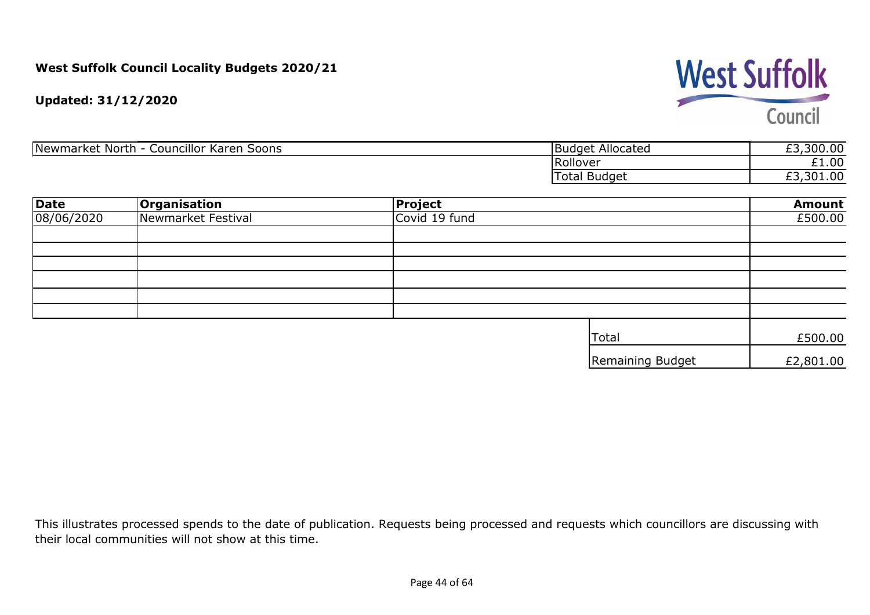

**Updated: 31/12/2020**

| .<br>Newmarket North<br>Soons<br>Councillor Karen | Allocated<br><b>Budget</b> | ,300.00<br>-- |
|---------------------------------------------------|----------------------------|---------------|
|                                                   | <b>Rollover</b>            | £1.00         |
|                                                   | Budget<br>Total            | £3,301.00     |

| <b>Date</b> | <b>Organisation</b> | <b>Project</b> |                  | <b>Amount</b> |
|-------------|---------------------|----------------|------------------|---------------|
| 08/06/2020  | Newmarket Festival  | Covid 19 fund  |                  | £500.00       |
|             |                     |                |                  |               |
|             |                     |                |                  |               |
|             |                     |                |                  |               |
|             |                     |                |                  |               |
|             |                     |                |                  |               |
|             |                     |                |                  |               |
|             |                     |                | <b>Total</b>     | £500.00       |
|             |                     |                | Remaining Budget | £2,801.00     |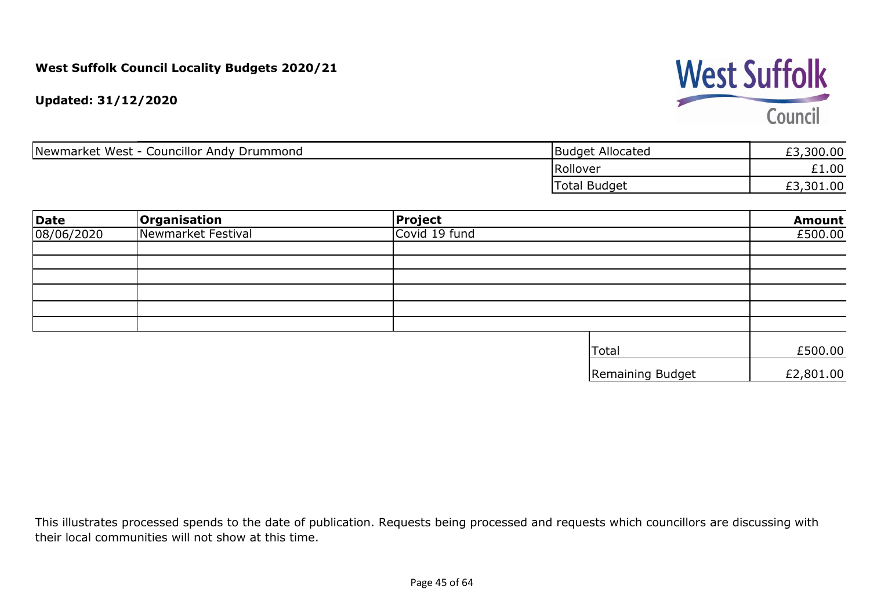

**Updated: 31/12/2020**

| <b>Councillor Andy Drummond</b><br>Newmarket West - C | <b>Budget Allocated</b> | 300.00    |
|-------------------------------------------------------|-------------------------|-----------|
|                                                       | Rollover                | $-1.00$   |
|                                                       | Total Budget            | £3,301.00 |

| Date       | <b>Organisation</b> | <b>Project</b> |                  | <b>Amount</b> |
|------------|---------------------|----------------|------------------|---------------|
| 08/06/2020 | Newmarket Festival  | Covid 19 fund  |                  | £500.00       |
|            |                     |                |                  |               |
|            |                     |                |                  |               |
|            |                     |                |                  |               |
|            |                     |                |                  |               |
|            |                     |                |                  |               |
|            |                     |                |                  |               |
|            |                     |                | Total            | £500.00       |
|            |                     |                | Remaining Budget | £2,801.00     |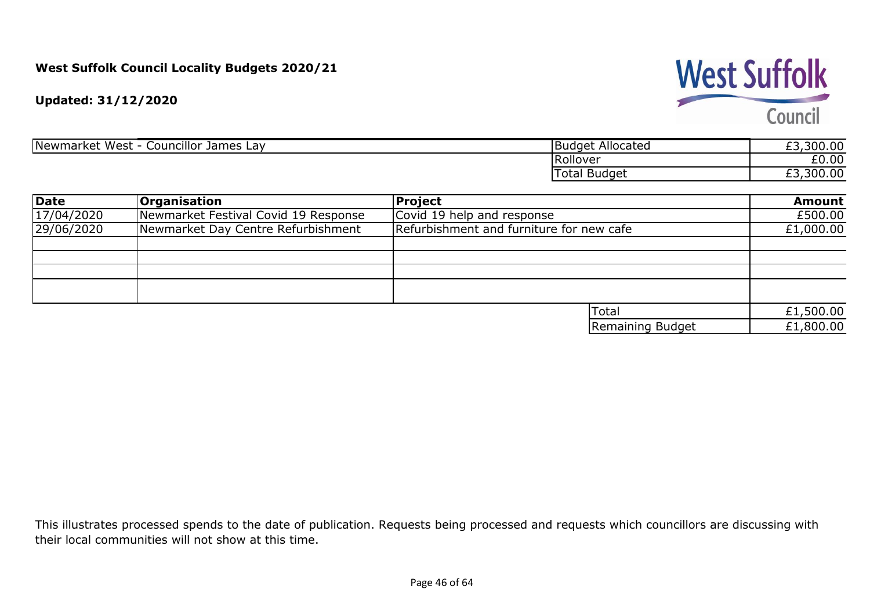## **West Suffolk**

Council

**Updated: 31/12/2020**

| Councillor<br>Newmarket West<br>James<br>Lav | Allocated<br>Budget | ,300.00<br>--<br>ົ |
|----------------------------------------------|---------------------|--------------------|
|                                              | <b>Rollover</b>     | £0.00              |
|                                              | Budget<br>Total     | ,300.00<br>--<br>້ |

| Date       | <b>Organisation</b>                  | Project                                  |                  | <b>Amount</b> |
|------------|--------------------------------------|------------------------------------------|------------------|---------------|
| 17/04/2020 | Newmarket Festival Covid 19 Response | Covid 19 help and response               |                  | £500.00       |
| 29/06/2020 | Newmarket Day Centre Refurbishment   | Refurbishment and furniture for new cafe |                  | £1,000.00     |
|            |                                      |                                          |                  |               |
|            |                                      |                                          |                  |               |
|            |                                      |                                          |                  |               |
|            |                                      |                                          |                  |               |
|            |                                      |                                          |                  |               |
|            |                                      | <sup>I</sup> Total                       |                  | £1,500.00     |
|            |                                      |                                          | Remaining Budget | £1,800.00     |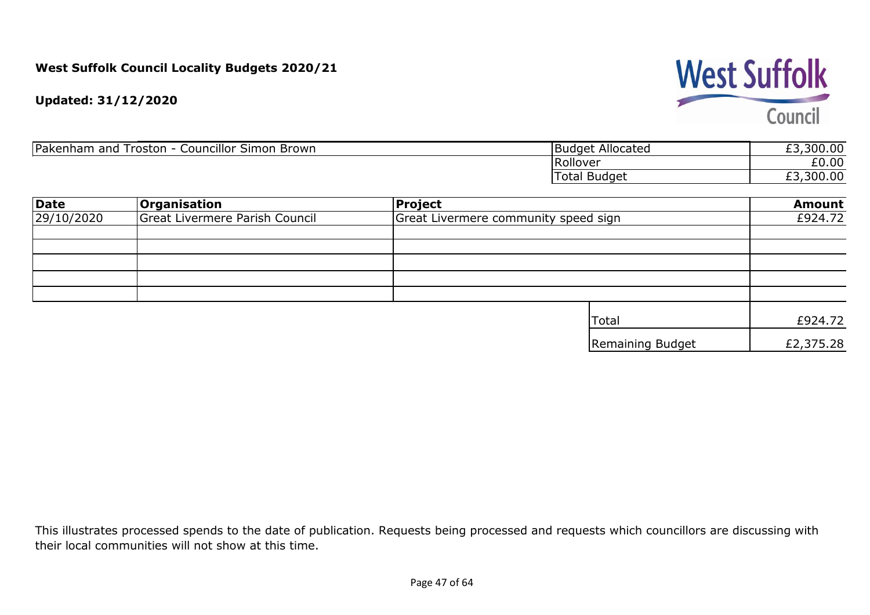**West Suffolk** Council

**Updated: 31/12/2020**

| Pakenham<br>$\sim$<br>Simon Brown<br>Councillor S<br>and<br>roston<br>- | Budget Allocated | £3,300.00 |
|-------------------------------------------------------------------------|------------------|-----------|
|                                                                         | TRollover        | £0.00     |
|                                                                         | Budget<br>Total  | £3,300.00 |

| <b>Date</b> | <b>Organisation</b>            | <b>Project</b>                       | <b>Amount</b> |
|-------------|--------------------------------|--------------------------------------|---------------|
| 29/10/2020  | Great Livermere Parish Council | Great Livermere community speed sign | £924.72       |
|             |                                |                                      |               |
|             |                                |                                      |               |
|             |                                |                                      |               |
|             |                                |                                      |               |
|             |                                |                                      |               |
|             |                                | <b>Total</b>                         | £924.72       |
|             |                                | Remaining Budget                     | £2,375.28     |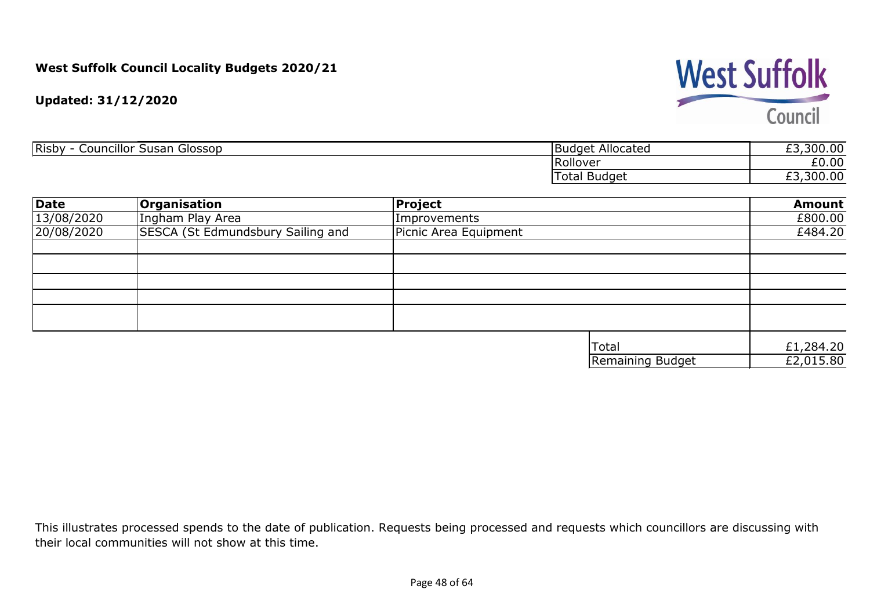## **West Suffolk** Council

**Updated: 31/12/2020**

| councillor r<br>Risby<br>Susan<br>Glossop | * Allocated<br>- iBudget i | $\sim$ $\sim$<br>$\Omega$<br>$\sim$<br>טט.טט                 |
|-------------------------------------------|----------------------------|--------------------------------------------------------------|
|                                           | <b>IRollover</b>           | £0.00                                                        |
|                                           | Total Budget               | $\sim$<br>$\mathcal{D}\cap\mathcal{D}$<br>UU.UU<br><u>__</u> |

| <b>Date</b> | <b>Organisation</b>                      | Project               |                  | <b>Amount</b> |
|-------------|------------------------------------------|-----------------------|------------------|---------------|
| 13/08/2020  | Ingham Play Area                         | Improvements          |                  | £800.00       |
| 20/08/2020  | <b>SESCA (St Edmundsbury Sailing and</b> | Picnic Area Equipment |                  | £484.20       |
|             |                                          |                       |                  |               |
|             |                                          |                       |                  |               |
|             |                                          |                       |                  |               |
|             |                                          |                       |                  |               |
|             |                                          |                       |                  |               |
|             |                                          |                       |                  |               |
|             |                                          |                       | <b>Total</b>     | £1,284.20     |
|             |                                          |                       | Remaining Budget | E2,015.80     |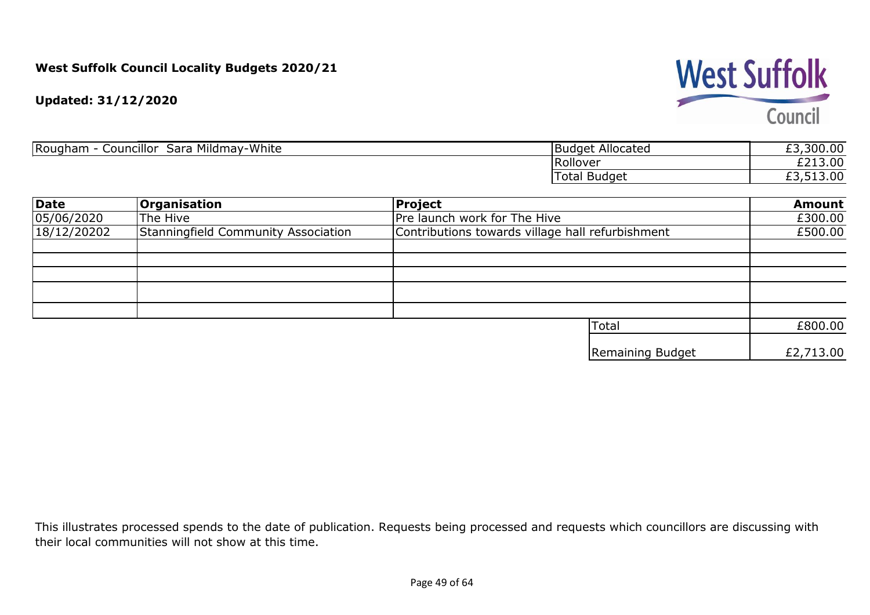

**Updated: 31/12/2020**

| Rougham<br>Mildmay-White<br>.<br>Councillor<br>sara | Allocated<br>IBudaet<br>ີ | £3,300.00               |
|-----------------------------------------------------|---------------------------|-------------------------|
|                                                     | <b>IRollover</b>          | £213.00                 |
|                                                     | Total<br>Budget           | 13.00<br>$\sim$<br>ر, ب |

| <b>Date</b> | <b>Organisation</b>                 | Project                                          | <b>Amount</b> |
|-------------|-------------------------------------|--------------------------------------------------|---------------|
| 05/06/2020  | The Hive                            | Pre launch work for The Hive                     | £300.00       |
| 18/12/20202 | Stanningfield Community Association | Contributions towards village hall refurbishment | £500.00       |
|             |                                     |                                                  |               |
|             |                                     |                                                  |               |
|             |                                     |                                                  |               |
|             |                                     |                                                  |               |
|             |                                     |                                                  |               |
|             |                                     | Total                                            | £800.00       |
|             |                                     | Remaining Budget                                 | £2,713.00     |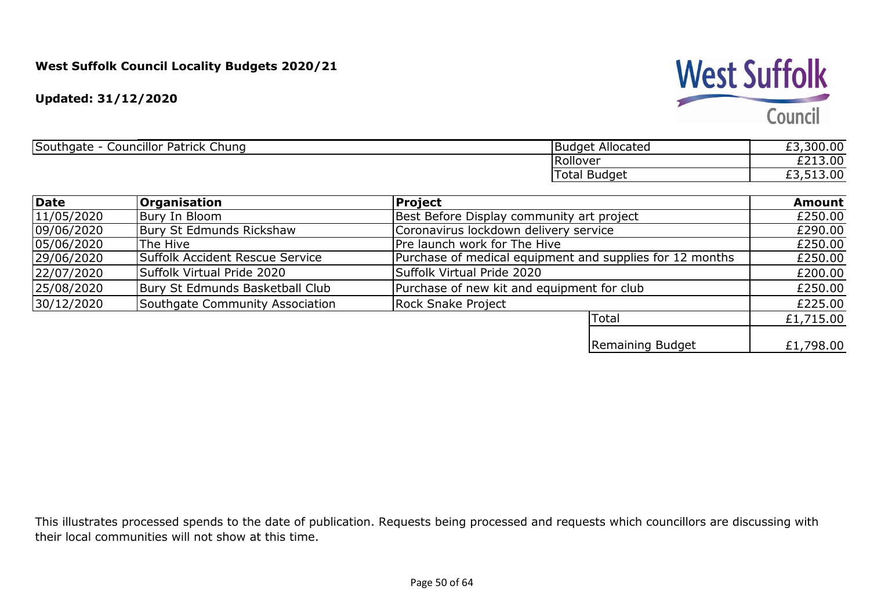**West Suffolk** 

Council

**Updated: 31/12/2020**

| Southgate<br>$\sim$<br>Councillor Patrick<br>Chung | <b>Budget Allocated</b> | ,300.00<br>--<br><u>_ </u> |
|----------------------------------------------------|-------------------------|----------------------------|
|                                                    | Rollover                | £213.00<br>$- - -$         |
|                                                    | Total<br>Budget         | 513.00<br>--<br><u>_ </u>  |

| <b>Date</b> | <b>Organisation</b>             | Project                                                  | <b>Amount</b> |
|-------------|---------------------------------|----------------------------------------------------------|---------------|
| 11/05/2020  | Bury In Bloom                   | Best Before Display community art project                | £250.00       |
| 09/06/2020  | Bury St Edmunds Rickshaw        | Coronavirus lockdown delivery service                    | £290.00       |
| 05/06/2020  | The Hive                        | Pre launch work for The Hive                             | £250.00       |
| 29/06/2020  | Suffolk Accident Rescue Service | Purchase of medical equipment and supplies for 12 months | £250.00       |
| 22/07/2020  | Suffolk Virtual Pride 2020      | Suffolk Virtual Pride 2020                               | £200.00       |
| 25/08/2020  | Bury St Edmunds Basketball Club | Purchase of new kit and equipment for club               | £250.00       |
| 30/12/2020  | Southgate Community Association | Rock Snake Project                                       | £225.00       |
|             |                                 | 'Total                                                   | £1,715.00     |
|             |                                 | Remaining Budget                                         | £1,798.00     |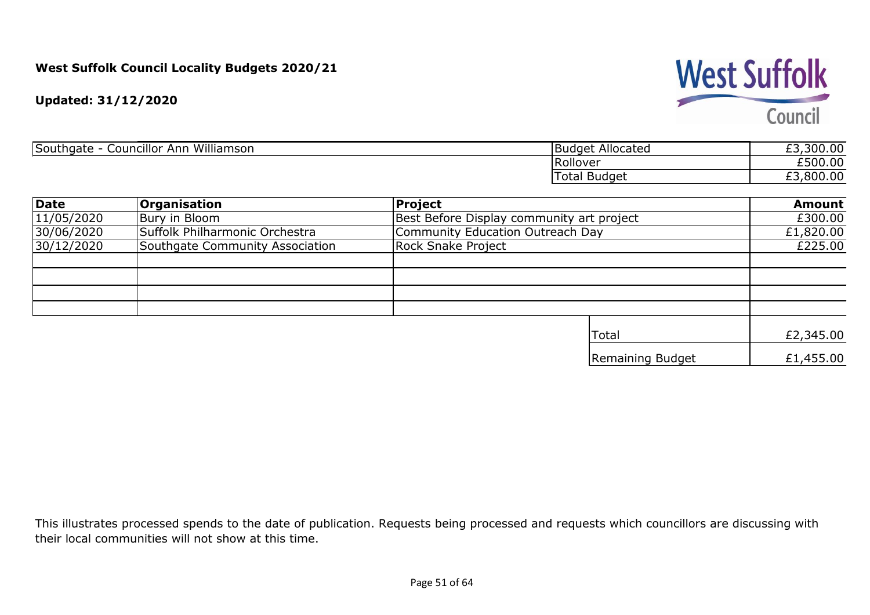

**Updated: 31/12/2020**

| Williamson<br>Councillor<br>Southgate<br>Anr | <sup>-</sup> Allocated<br>I Budget, | 300.00<br>$\sim$<br>_ _ |
|----------------------------------------------|-------------------------------------|-------------------------|
|                                              | <b>IRollover</b>                    | £500.00                 |
|                                              | Budget<br>Total                     | ,800.00<br>_ _          |

| <b>Date</b> | <b>Organisation</b>             | Project                                   | <b>Amount</b> |
|-------------|---------------------------------|-------------------------------------------|---------------|
| 11/05/2020  | Bury in Bloom                   | Best Before Display community art project | £300.00       |
| 30/06/2020  | Suffolk Philharmonic Orchestra  | Community Education Outreach Day          | £1,820.00     |
| 30/12/2020  | Southgate Community Association | <b>Rock Snake Project</b>                 | £225.00       |
|             |                                 |                                           |               |
|             |                                 |                                           |               |
|             |                                 |                                           |               |
|             |                                 |                                           |               |
|             |                                 | 'Total                                    | £2,345.00     |
|             |                                 | Remaining Budget                          | £1,455.00     |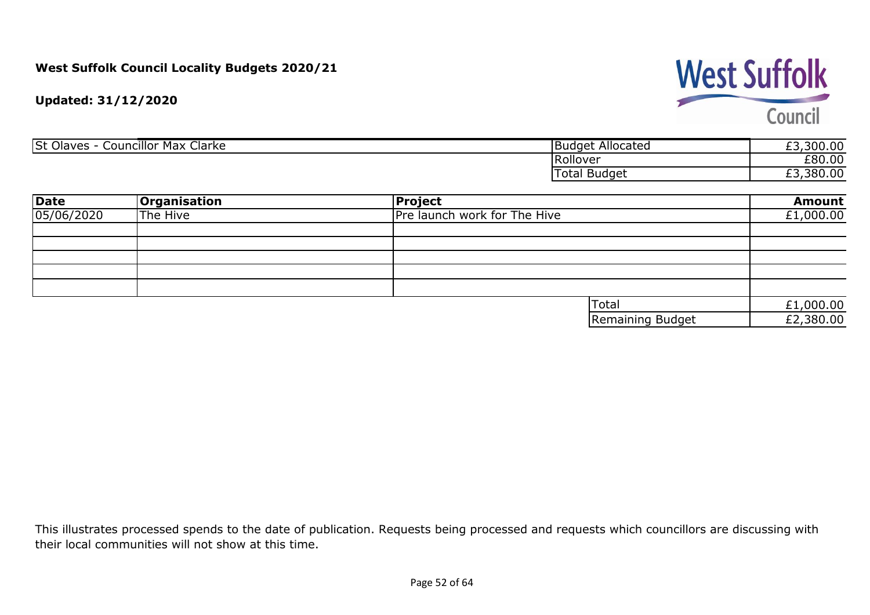## **West Suffolk**

Council

**Updated: 31/12/2020**

| <b>St Olaves</b><br>$\sim$<br>Councillor Max (<br>Clarke | <b>Budget Allocated</b> | ,300.00<br>~~<br>ـــ |
|----------------------------------------------------------|-------------------------|----------------------|
|                                                          | Rollover                | £80.00               |
|                                                          | <b>Total</b><br>Budget  | ,380.00<br>--<br>ـــ |

| <b>Date</b> | <b>Organisation</b> | Project                      | <b>Amount</b> |
|-------------|---------------------|------------------------------|---------------|
| 05/06/2020  | The Hive            | Pre launch work for The Hive | £1,000.00     |
|             |                     |                              |               |
|             |                     |                              |               |
|             |                     |                              |               |
|             |                     |                              |               |
|             |                     |                              |               |
|             |                     | <b>Total</b>                 | £1,000.00     |
|             |                     | Remaining Budget             | £2,380.00     |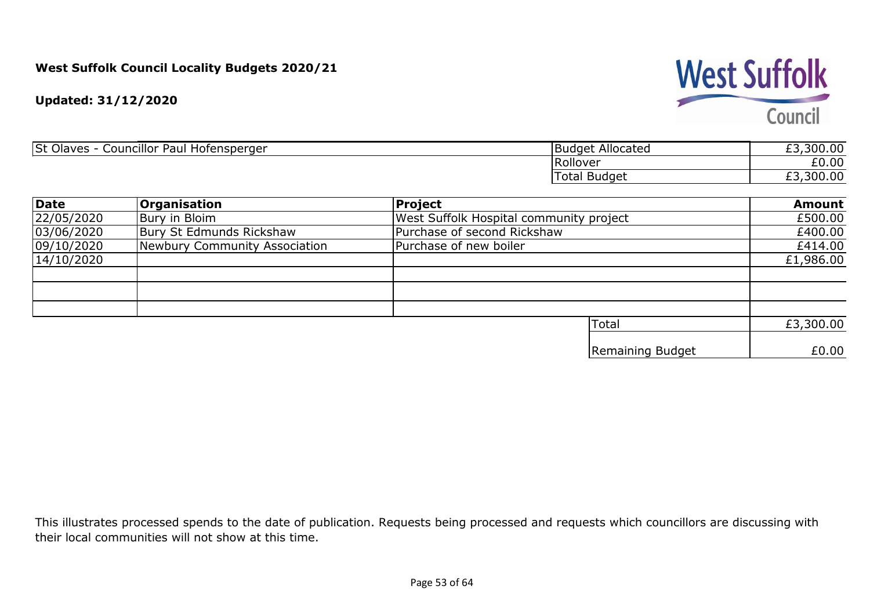

**Updated: 31/12/2020**

| <b>St Olaves</b><br>.<br>Paul<br>' Hofensperger<br>Councillor | * Allocated<br><b>Budget,</b> | ,300.00<br>$\sim$<br>_ _ |
|---------------------------------------------------------------|-------------------------------|--------------------------|
|                                                               | Rollover                      | £0.00                    |
|                                                               | Total Budget                  | 300.00<br>ட              |

| <b>Date</b> | <b>Organisation</b>           | Project                                 | <b>Amount</b> |
|-------------|-------------------------------|-----------------------------------------|---------------|
| 22/05/2020  | Bury in Bloim                 | West Suffolk Hospital community project | £500.00       |
| 03/06/2020  | Bury St Edmunds Rickshaw      | Purchase of second Rickshaw             | £400.00       |
| 09/10/2020  | Newbury Community Association | Purchase of new boiler                  | £414.00       |
| 14/10/2020  |                               |                                         | £1,986.00     |
|             |                               |                                         |               |
|             |                               |                                         |               |
|             |                               |                                         |               |
|             |                               | <b>Total</b>                            | £3,300.00     |
|             |                               | Remaining Budget                        | £0.00         |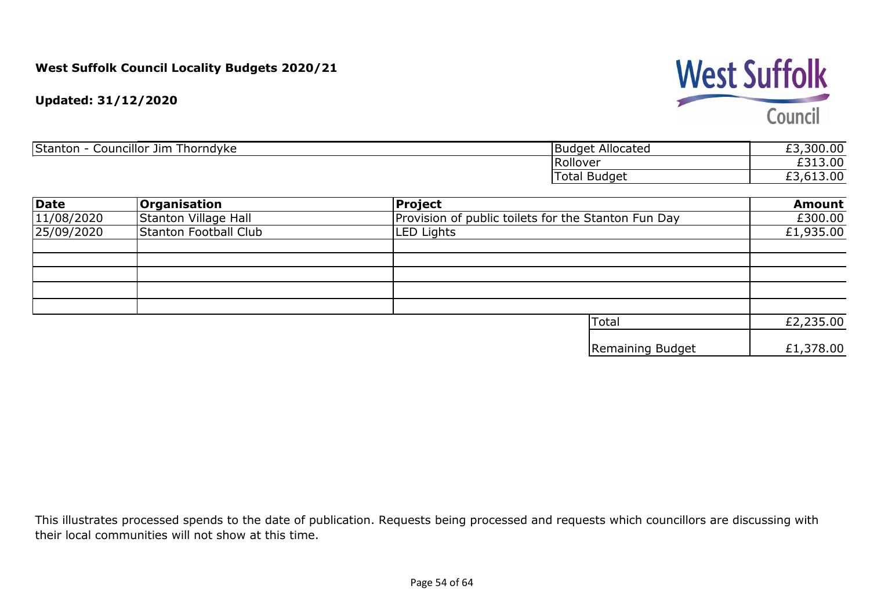

**Updated: 31/12/2020**

| <br>Stanton<br>.<br>Councillor Jim<br>Thorndyke | Budget Allocated | £3,300.00 |
|-------------------------------------------------|------------------|-----------|
|                                                 | <b>IRollover</b> | £313.00   |
|                                                 | l otal<br>Budget | 13.00     |

| <b>Date</b> | <b>Organisation</b>          | Project                                             | <b>Amount</b> |
|-------------|------------------------------|-----------------------------------------------------|---------------|
| 11/08/2020  | Stanton Village Hall         | Provision of public toilets for the Stanton Fun Day | £300.00       |
| 25/09/2020  | <b>Stanton Football Club</b> | LED Lights                                          | £1,935.00     |
|             |                              |                                                     |               |
|             |                              |                                                     |               |
|             |                              |                                                     |               |
|             |                              |                                                     |               |
|             |                              | Total                                               | £2,235.00     |
|             |                              | Remaining Budget                                    | £1,378.00     |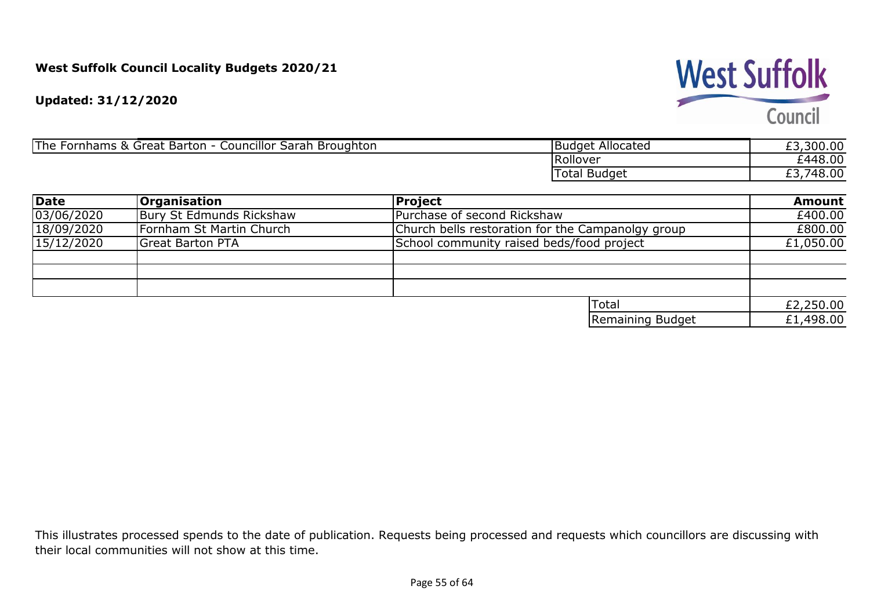# **West Suffolk**

Council

**Updated: 31/12/2020**

| 'The<br>$\sqrt{\frac{1}{2}}$ Councillor $\sqrt{\frac{1}{2}}$<br><b>Barton</b><br>$.58 \subset$<br>Fornhams<br>Sarah :<br>Great<br>Broughton | IBudget Allocated | ,300.00<br>$\sim$     |
|---------------------------------------------------------------------------------------------------------------------------------------------|-------------------|-----------------------|
|                                                                                                                                             | Rollover          | 2448.00<br><u>.</u>   |
|                                                                                                                                             | -<br>Total Budget | 48.00<br>$\sim$<br>4× |

| Date       | <b>Organisation</b>      | <b>Project</b>                                    | <b>Amount</b> |
|------------|--------------------------|---------------------------------------------------|---------------|
| 03/06/2020 | Bury St Edmunds Rickshaw | Purchase of second Rickshaw                       | £400.00       |
| 18/09/2020 | Fornham St Martin Church | Church bells restoration for the Campanolgy group | £800.00       |
| 15/12/2020 | <b>Great Barton PTA</b>  | School community raised beds/food project         | £1,050.00     |
|            |                          |                                                   |               |
|            |                          |                                                   |               |
|            |                          |                                                   |               |
|            |                          | Total                                             | £2,250.00     |
|            |                          | Remaining Budget                                  | £1,498.00     |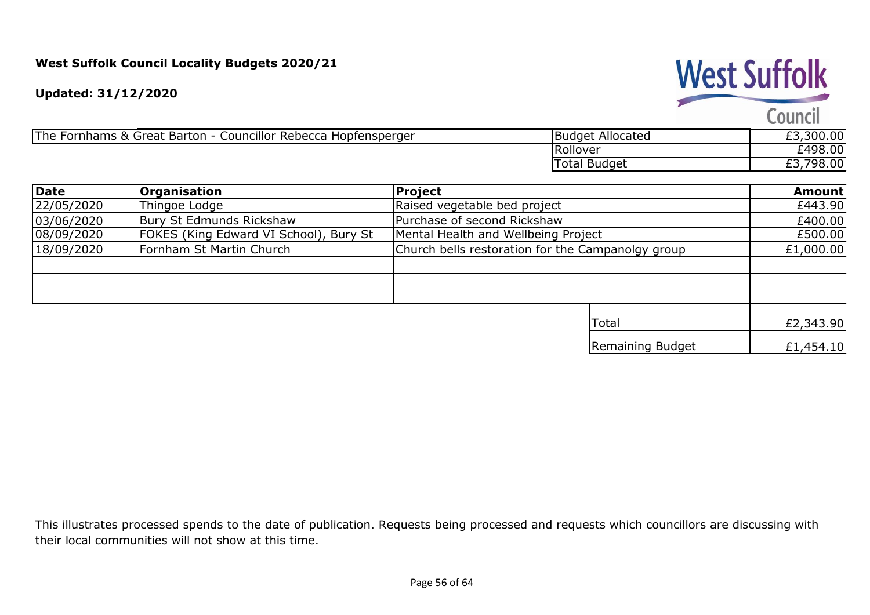

The Fornhams & Great Barton - Councillor Rebecca Hopfensperger

| <b>Budget Allocated</b> | £3,300.00 |
|-------------------------|-----------|
| Rollover                | £498.00   |
| Total Budget            | £3,798.00 |
|                         |           |

**West Suffolk** 

Council

| Date       | <b>Organisation</b>                    | <b>Project</b>                                    | <b>Amount</b> |
|------------|----------------------------------------|---------------------------------------------------|---------------|
| 22/05/2020 | Thingoe Lodge                          | Raised vegetable bed project                      | £443.90       |
| 03/06/2020 | Bury St Edmunds Rickshaw               | Purchase of second Rickshaw                       | £400.00       |
| 08/09/2020 | FOKES (King Edward VI School), Bury St | Mental Health and Wellbeing Project               | £500.00       |
| 18/09/2020 | Fornham St Martin Church               | Church bells restoration for the Campanolgy group | £1,000.00     |
|            |                                        |                                                   |               |
|            |                                        |                                                   |               |
|            |                                        |                                                   |               |
|            |                                        | <b>Total</b>                                      | £2,343.90     |
|            |                                        | Remaining Budget                                  | £1,454.10     |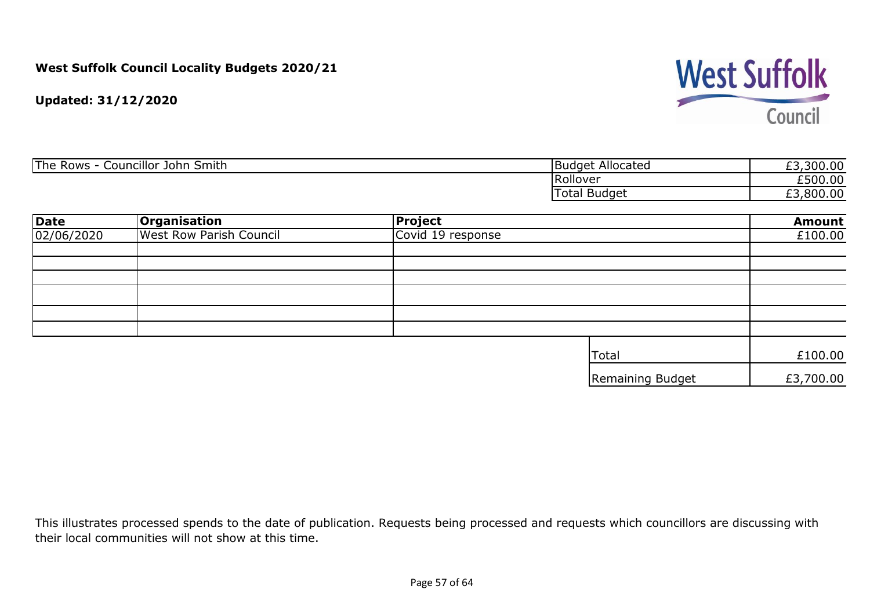

**Updated: 31/12/2020**

| <b>The</b><br>Councillor<br>$\overline{\phantom{a}}$<br><b>Rows</b><br><b>Smith</b><br>John ' | - 11<br>Budget Allocated | 300.00<br>$\sim$ |
|-----------------------------------------------------------------------------------------------|--------------------------|------------------|
|                                                                                               | Rollover                 | £500.00          |
|                                                                                               | <b>Budget</b><br>l otal  | 800.00           |

| <b>Date</b> | <b>Organisation</b>            | <b>Project</b>    |                  | <b>Amount</b> |
|-------------|--------------------------------|-------------------|------------------|---------------|
| 02/06/2020  | <b>West Row Parish Council</b> | Covid 19 response |                  |               |
|             |                                |                   |                  |               |
|             |                                |                   |                  |               |
|             |                                |                   |                  |               |
|             |                                |                   |                  |               |
|             |                                |                   |                  |               |
|             |                                |                   |                  |               |
|             |                                |                   | Total            | £100.00       |
|             |                                |                   | Remaining Budget | £3,700.00     |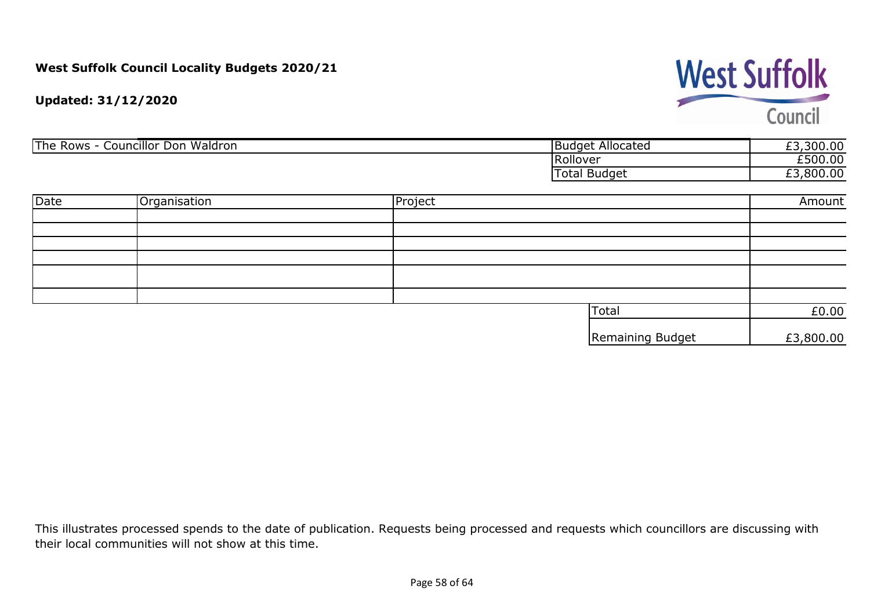# **West Suffolk**

Council

#### **Updated: 31/12/2020**

| The Rows - Councillor Don Waldron |              | <b>Budget Allocated</b> | £3,300.00    |           |
|-----------------------------------|--------------|-------------------------|--------------|-----------|
|                                   |              |                         | Rollover     | £500.00   |
|                                   |              |                         | Total Budget | £3,800.00 |
|                                   |              |                         |              |           |
| Date                              | Organisation | Project                 |              | Amount    |
|                                   |              |                         |              |           |
|                                   |              |                         |              |           |
|                                   |              |                         |              |           |

|  | <b>Total</b>     | £0.00     |
|--|------------------|-----------|
|  | Remaining Budget | £3,800.00 |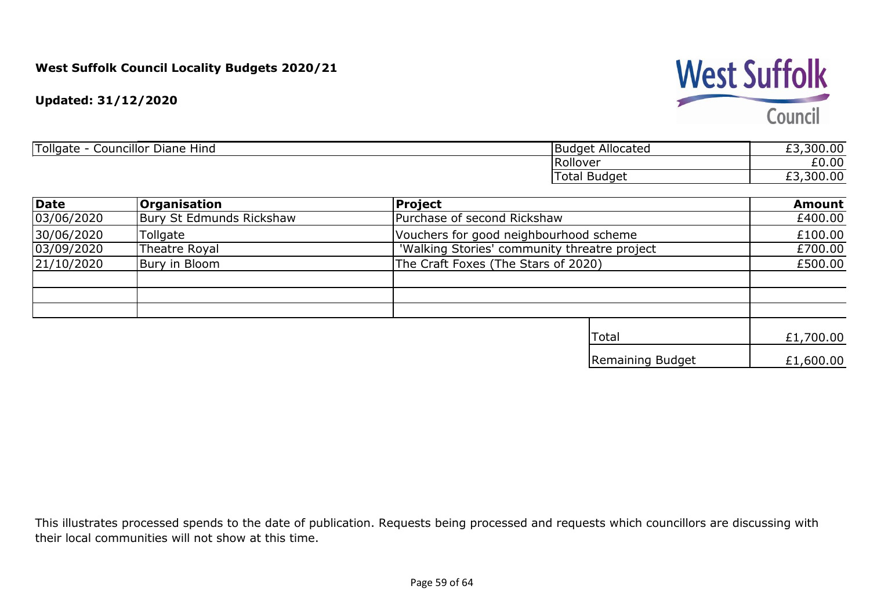**West Suffolk** Council

**Updated: 31/12/2020**

| Tollgate<br>.<br><br>- -<br>Councillor<br>Diane Hind | .<br>Allocated<br>⊣Budge† | $\sim$ $\sim$<br>--<br>n r<br>טט.טט<br>_ _ |
|------------------------------------------------------|---------------------------|--------------------------------------------|
|                                                      | <b>Rollover</b>           | $\sim$ $\sim$<br>$\cap$<br>ŁU.UU           |
|                                                      | <b>Budget</b><br>Total    | $\sim$<br>$\sim$<br>vv.vv<br><u>__</u>     |

| <b>Date</b>                  | Organisation             | <b>Project</b>                               | <b>Amount</b> |
|------------------------------|--------------------------|----------------------------------------------|---------------|
| 03/06/2020                   | Bury St Edmunds Rickshaw | Purchase of second Rickshaw                  | £400.00       |
| 30/06/2020                   | Tollgate                 | Vouchers for good neighbourhood scheme       | £100.00       |
| 03/09/2020                   | Theatre Royal            | 'Walking Stories' community threatre project | £700.00       |
| Bury in Bloom<br> 21/10/2020 |                          | The Craft Foxes (The Stars of 2020)          | £500.00       |
|                              |                          |                                              |               |
|                              |                          |                                              |               |
|                              |                          |                                              |               |
|                              |                          | <b>Total</b>                                 | £1,700.00     |
|                              |                          | Remaining Budget                             | £1,600.00     |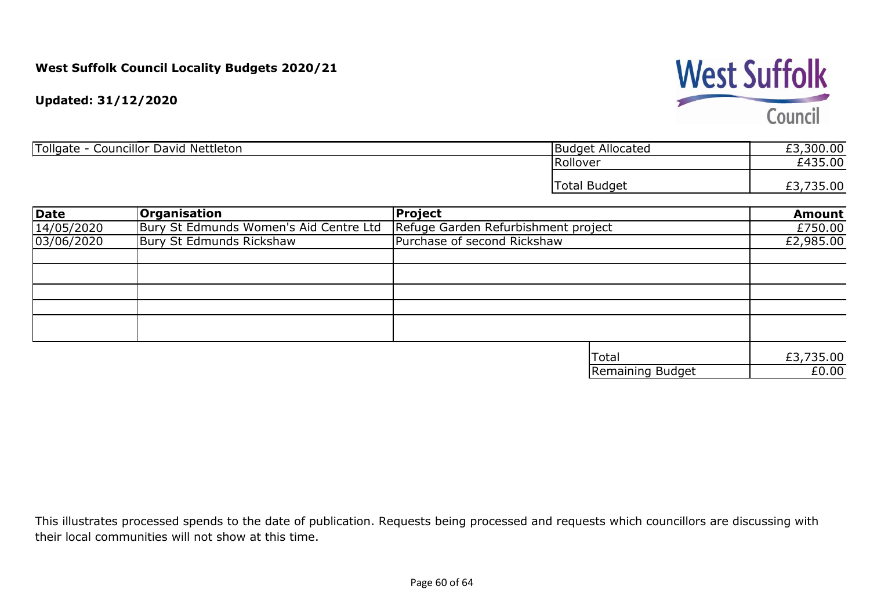**Updated: 31/12/2020**

| Tollgate<br><br>Nettleton<br>Councillor David<br>- | Allocated<br><b>Budget</b> | £3,300.00                  |
|----------------------------------------------------|----------------------------|----------------------------|
|                                                    | Rollover                   | £435.00                    |
|                                                    | Total<br><b>Budget</b>     | 35.00<br>r ¬<br><u>LJ,</u> |

| <b>Date</b> | <b>Organisation</b>                    | <b>Project</b>                      | <b>Amount</b> |
|-------------|----------------------------------------|-------------------------------------|---------------|
| 14/05/2020  | Bury St Edmunds Women's Aid Centre Ltd | Refuge Garden Refurbishment project | £750.00       |
| 03/06/2020  | Bury St Edmunds Rickshaw               | Purchase of second Rickshaw         | £2,985.00     |
|             |                                        |                                     |               |
|             |                                        |                                     |               |
|             |                                        |                                     |               |
|             |                                        |                                     |               |
|             |                                        |                                     |               |
|             |                                        |                                     |               |
|             |                                        | <b>Total</b>                        | £3,735.00     |
|             |                                        | <b>Remaining Budget</b>             | E0.00         |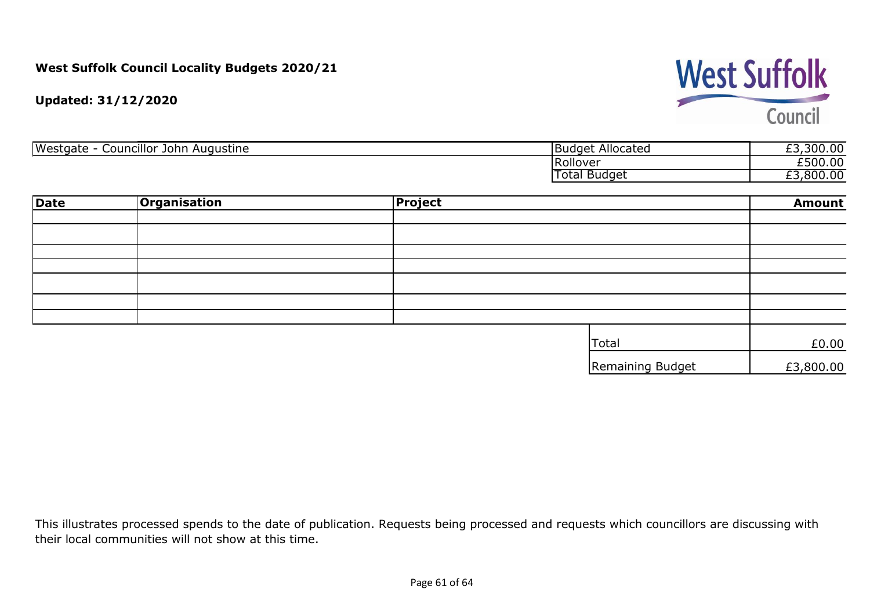**West Suffolk** Council

**Updated: 31/12/2020**

| Westgate<br>Councillor<br>Augustine<br>John | <b>Budget Allocated</b> | no oo<br>$\sim$<br><b>300.00</b><br><u>_ </u> |
|---------------------------------------------|-------------------------|-----------------------------------------------|
|                                             | <b>Rollover</b>         | £500.00                                       |
|                                             | <b>Budget</b><br>l otal | ,800.00<br><u>_ </u>                          |

| <b>Date</b> | <b>Organisation</b> | Project |                  | <b>Amount</b> |
|-------------|---------------------|---------|------------------|---------------|
|             |                     |         |                  |               |
|             |                     |         |                  |               |
|             |                     |         |                  |               |
|             |                     |         |                  |               |
|             |                     |         |                  |               |
|             |                     |         |                  |               |
|             |                     |         |                  |               |
|             |                     |         | Total            | £0.00         |
|             |                     |         | Remaining Budget | £3,800.00     |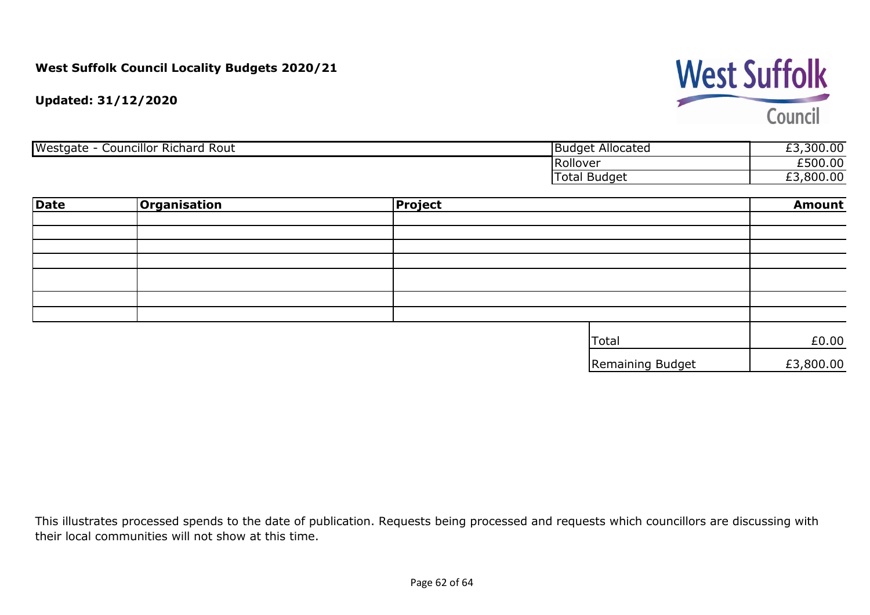**West Suffolk** Council

**Updated: 31/12/2020**

| <b>Councillor Richard</b><br>Westgate<br>-Rout | <b>Budget Allocated</b> | ,300.00<br>--        |
|------------------------------------------------|-------------------------|----------------------|
|                                                | <b>Rollover</b>         | £500.00              |
|                                                | I Budget<br>Total       | ,800.00<br>--<br>ـــ |

| Date | <b>Organisation</b> | Project |                  | <b>Amount</b> |
|------|---------------------|---------|------------------|---------------|
|      |                     |         |                  |               |
|      |                     |         |                  |               |
|      |                     |         |                  |               |
|      |                     |         |                  |               |
|      |                     |         |                  |               |
|      |                     |         |                  |               |
|      |                     |         |                  |               |
|      |                     |         | Total            | £0.00         |
|      |                     |         | Remaining Budget | £3,800.00     |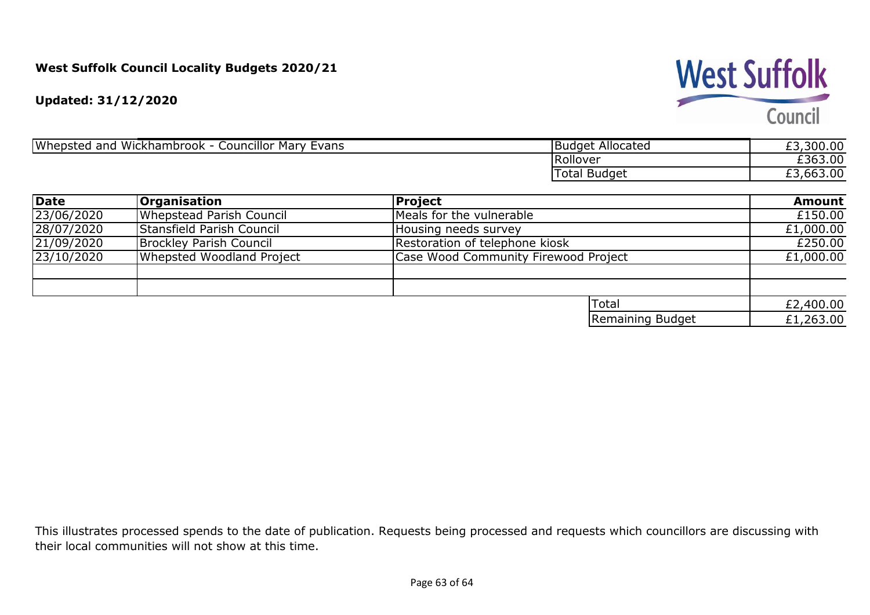## **West Suffolk**

Council

**Updated: 31/12/2020**

| Whepsted<br>Wickhambrook<br>Councillor Mary<br>and<br>Evans | <b>Budget Allocated</b> | ,300.00<br>$\sim$ |
|-------------------------------------------------------------|-------------------------|-------------------|
|                                                             | <b>Rollover</b>         | £363.00           |
|                                                             | ' Budget<br>l otal      | ,663.00<br>ـــ    |

| Date       | <b>Organisation</b>             | Project                              | <b>Amount</b> |
|------------|---------------------------------|--------------------------------------|---------------|
| 23/06/2020 | <b>Whepstead Parish Council</b> | Meals for the vulnerable             | £150.00       |
| 28/07/2020 | Stansfield Parish Council       | Housing needs survey                 | £1,000.00     |
| 21/09/2020 | Brockley Parish Council         | Restoration of telephone kiosk       | £250.00       |
| 23/10/2020 | Whepsted Woodland Project       | Case Wood Community Firewood Project | £1,000.00     |
|            |                                 |                                      |               |
|            |                                 |                                      |               |
|            |                                 | <b>Total</b>                         | £2,400.00     |
|            |                                 | Remaining Budget                     | £1,263.00     |